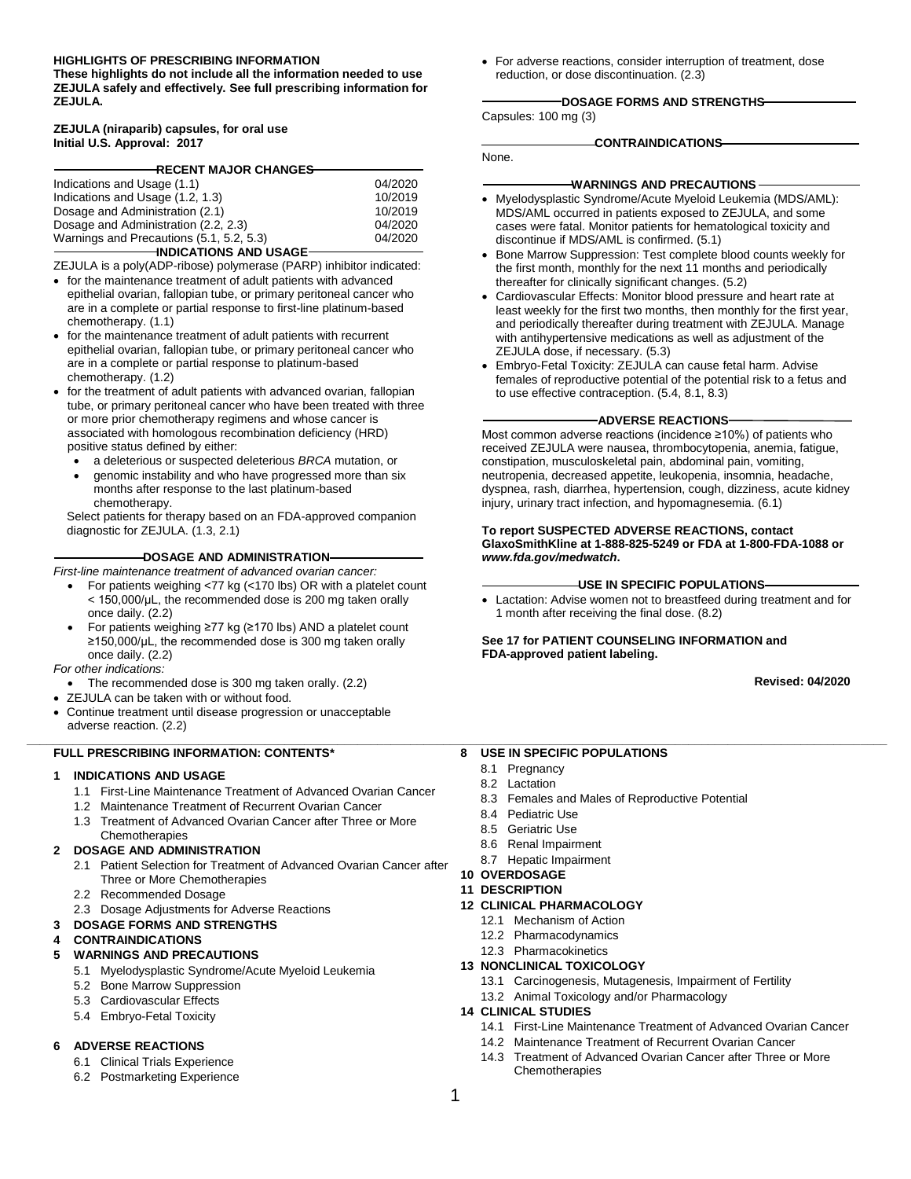#### **HIGHLIGHTS OF PRESCRIBING INFORMATION**

**These highlights do not include all the information needed to use ZEJULA safely and effectively. See full prescribing information for ZEJULA.**

#### **ZEJULA (niraparib) capsules, for oral use Initial U.S. Approval: 2017**

| RECENT MAJOR CHANGE <del>S</del>         |         |  |  |
|------------------------------------------|---------|--|--|
|                                          |         |  |  |
| Indications and Usage (1.1)              | 04/2020 |  |  |
| Indications and Usage (1.2, 1.3)         | 10/2019 |  |  |
| Dosage and Administration (2.1)          | 10/2019 |  |  |
| Dosage and Administration (2.2, 2.3)     | 04/2020 |  |  |
| Warnings and Precautions (5.1, 5.2, 5.3) | 04/2020 |  |  |
| <b>INDICATIONS AND USAGE</b>             |         |  |  |

ZEJULA is a poly(ADP-ribose) polymerase (PARP) inhibitor indicated:

- for the maintenance treatment of adult patients with advanced epithelial ovarian, fallopian tube, or primary peritoneal cancer who are in a complete or partial response to first-line platinum-based chemotherapy. (1.1)
- for the maintenance treatment of adult patients with recurrent epithelial ovarian, fallopian tube, or primary peritoneal cancer who are in a complete or partial response to platinum-based chemotherapy. (1.2)
- for the treatment of adult patients with advanced ovarian, fallopian tube, or primary peritoneal cancer who have been treated with three or more prior chemotherapy regimens and whose cancer is associated with homologous recombination deficiency (HRD) positive status defined by either:
	- a deleterious or suspected deleterious *BRCA* mutation, or
	- genomic instability and who have progressed more than six months after response to the last platinum-based chemotherapy.

Select patients for therapy based on an FDA-approved companion diagnostic for ZEJULA. (1.3, 2.1)

#### **DOSAGE AND ADMINISTRATION**

*First-line maintenance treatment of advanced ovarian cancer:*

- For patients weighing <77 kg (<170 lbs) OR with a platelet count < 150,000/μL, the recommended dose is 200 mg taken orally once daily. (2.2)
- For patients weighing ≥77 kg (≥170 lbs) AND a platelet count ≥150,000/μL, the recommended dose is 300 mg taken orally once daily. (2.2)

*For other indications:*

- The recommended dose is 300 mg taken orally. (2.2)
- ZEJULA can be taken with or without food.
- Continue treatment until disease progression or unacceptable adverse reaction. (2.2)

#### **FULL PRESCRIBING INFORMATION: CONTENTS\***

#### **1 INDICATIONS AND USAGE**

- 1.1 First-Line Maintenance Treatment of Advanced Ovarian Cancer
- 1.2 Maintenance Treatment of Recurrent Ovarian Cancer
- 1.3 Treatment of Advanced Ovarian Cancer after Three or More
- **Chemotherapies**

#### **2 DOSAGE AND ADMINISTRATION**

- 2.1 Patient Selection for Treatment of Advanced Ovarian Cancer after Three or More Chemotherapies
- 2.2 Recommended Dosage
- 2.3 Dosage Adjustments for Adverse Reactions
- **3 DOSAGE FORMS AND STRENGTHS**

#### **4 CONTRAINDICATIONS**

- **5 WARNINGS AND PRECAUTIONS**
	- 5.1 Myelodysplastic Syndrome/Acute Myeloid Leukemia
	- 5.2 Bone Marrow Suppression
	- 5.3 Cardiovascular Effects
	- 5.4 Embryo-Fetal Toxicity

#### **6 ADVERSE REACTIONS**

- 6.1 Clinical Trials Experience
- 6.2 Postmarketing Experience

• For adverse reactions, consider interruption of treatment, dose reduction, or dose discontinuation. (2.3)

#### **DOSAGE FORMS AND STRENGTHS**

Capsules: 100 mg (3)

#### **CONTRAINDICATIONS**

None.

#### **WARNINGS AND PRECAUTIONS**

- Myelodysplastic Syndrome/Acute Myeloid Leukemia (MDS/AML): MDS/AML occurred in patients exposed to ZEJULA, and some cases were fatal. Monitor patients for hematological toxicity and discontinue if MDS/AML is confirmed. (5.1)
- Bone Marrow Suppression: Test complete blood counts weekly for the first month, monthly for the next 11 months and periodically thereafter for clinically significant changes. (5.2)
- Cardiovascular Effects: Monitor blood pressure and heart rate at least weekly for the first two months, then monthly for the first year, and periodically thereafter during treatment with ZEJULA. Manage with antihypertensive medications as well as adjustment of the ZEJULA dose, if necessary. (5.3)
- Embryo-Fetal Toxicity: ZEJULA can cause fetal harm. Advise females of reproductive potential of the potential risk to a fetus and to use effective contraception. (5.4, 8.1, 8.3)

#### **ADVERSE REACTIONS**

Most common adverse reactions (incidence ≥10%) of patients who received ZEJULA were nausea, thrombocytopenia, anemia, fatigue, constipation, musculoskeletal pain, abdominal pain, vomiting, neutropenia, decreased appetite, leukopenia, insomnia, headache, dyspnea, rash, diarrhea, hypertension, cough, dizziness, acute kidney injury, urinary tract infection, and hypomagnesemia. (6.1)

#### **To report SUSPECTED ADVERSE REACTIONS, contact GlaxoSmithKline at 1-888-825-5249 or FDA at 1-800-FDA-1088 or** *[www.fda.gov/medwatch](http://www.fda.gov/medwatch)***.**

#### **USE IN SPECIFIC POPULATIONS**

• Lactation: Advise women not to breastfeed during treatment and for 1 month after receiving the final dose. (8.2)

#### **See 17 for PATIENT COUNSELING INFORMATION and FDA-approved patient labeling.**

**Revised: 04/2020**

#### **8 USE IN SPECIFIC POPULATIONS**

8.1 Pregnancy

**\_\_\_\_\_\_\_\_\_\_\_\_\_\_\_\_\_\_\_\_\_\_\_\_\_\_\_\_\_\_\_\_\_\_\_\_\_\_\_\_\_\_\_\_\_\_\_\_\_\_\_\_\_\_\_\_\_\_\_\_\_\_\_\_\_\_\_\_\_\_\_\_\_\_\_\_\_\_\_\_\_\_\_\_\_\_\_\_\_\_\_\_\_\_\_\_\_\_\_\_\_\_\_\_\_\_\_\_\_\_\_\_\_\_\_\_\_\_\_\_\_\_\_\_\_\_\_\_\_\_**

- 8.2 Lactation
- 8.3 Females and Males of Reproductive Potential
- 8.4 Pediatric Use
- 8.5 Geriatric Use
- 8.6 Renal Impairment
- 8.7 Hepatic Impairment
- **10 OVERDOSAGE**
- **11 DESCRIPTION**

#### **12 CLINICAL PHARMACOLOGY**

- 12.1 Mechanism of Action
- 12.2 Pharmacodynamics
- 12.3 Pharmacokinetics

#### **13 NONCLINICAL TOXICOLOGY**

- 13.1 Carcinogenesis, Mutagenesis, Impairment of Fertility
- 13.2 Animal Toxicology and/or Pharmacology
- **14 CLINICAL STUDIES**
	- 14.1 First-Line Maintenance Treatment of Advanced Ovarian Cancer
	- 14.2 Maintenance Treatment of Recurrent Ovarian Cancer
	- 14.3 Treatment of Advanced Ovarian Cancer after Three or More Chemotherapies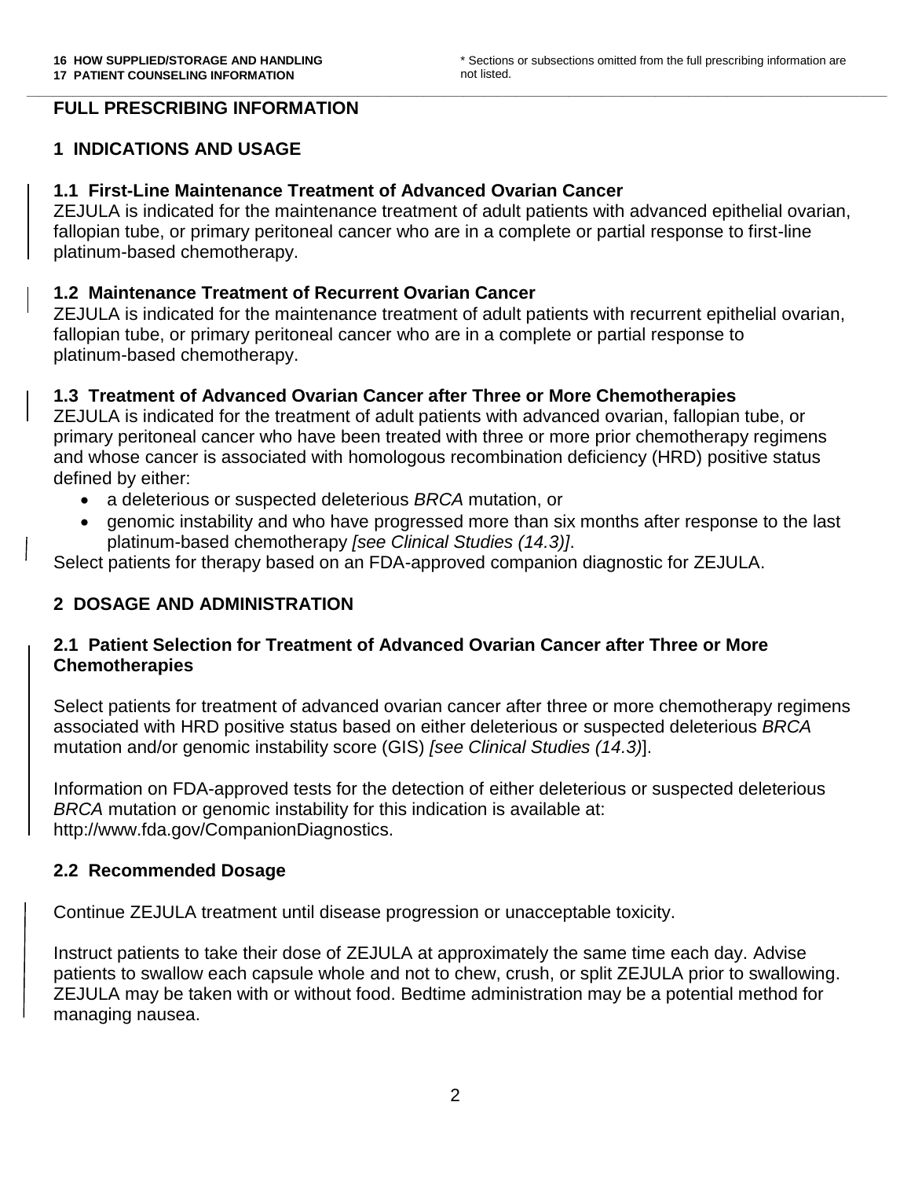#### **\_\_\_\_\_\_\_\_\_\_\_\_\_\_\_\_\_\_\_\_\_\_\_\_\_\_\_\_\_\_\_\_\_\_\_\_\_\_\_\_\_\_\_\_\_\_\_\_\_\_\_\_\_\_\_\_\_\_\_\_\_\_\_\_\_\_\_\_\_\_\_\_\_\_\_\_\_\_\_\_\_\_\_\_\_\_\_\_\_\_\_\_\_\_\_\_\_\_\_\_\_\_\_\_\_\_\_\_\_\_\_\_\_\_\_\_\_\_\_\_\_\_\_\_\_\_\_\_\_\_ FULL PRESCRIBING INFORMATION**

#### **1 INDICATIONS AND USAGE**

#### **1.1 First-Line Maintenance Treatment of Advanced Ovarian Cancer**

ZEJULA is indicated for the maintenance treatment of adult patients with advanced epithelial ovarian, fallopian tube, or primary peritoneal cancer who are in a complete or partial response to first-line platinum-based chemotherapy.

#### **1.2 Maintenance Treatment of Recurrent Ovarian Cancer**

ZEJULA is indicated for the maintenance treatment of adult patients with recurrent epithelial ovarian, fallopian tube, or primary peritoneal cancer who are in a complete or partial response to platinum-based chemotherapy.

#### **1.3 Treatment of Advanced Ovarian Cancer after Three or More Chemotherapies**

ZEJULA is indicated for the treatment of adult patients with advanced ovarian, fallopian tube, or primary peritoneal cancer who have been treated with three or more prior chemotherapy regimens and whose cancer is associated with homologous recombination deficiency (HRD) positive status defined by either:

- a deleterious or suspected deleterious *BRCA* mutation, or
- genomic instability and who have progressed more than six months after response to the last platinum-based chemotherapy *[see Clinical Studies (14.3)]*.

Select patients for therapy based on an FDA-approved companion diagnostic for ZEJULA.

#### **2 DOSAGE AND ADMINISTRATION**

#### **2.1 Patient Selection for Treatment of Advanced Ovarian Cancer after Three or More Chemotherapies**

Select patients for treatment of advanced ovarian cancer after three or more chemotherapy regimens associated with HRD positive status based on either deleterious or suspected deleterious *BRCA* mutation and/or genomic instability score (GIS) *[see Clinical Studies (14.3)*].

Information on FDA-approved tests for the detection of either deleterious or suspected deleterious *BRCA* mutation or genomic instability for this indication is available at: http://www.fda.gov/CompanionDiagnostics.

#### **2.2 Recommended Dosage**

Continue ZEJULA treatment until disease progression or unacceptable toxicity.

Instruct patients to take their dose of ZEJULA at approximately the same time each day. Advise patients to swallow each capsule whole and not to chew, crush, or split ZEJULA prior to swallowing. ZEJULA may be taken with or without food. Bedtime administration may be a potential method for managing nausea.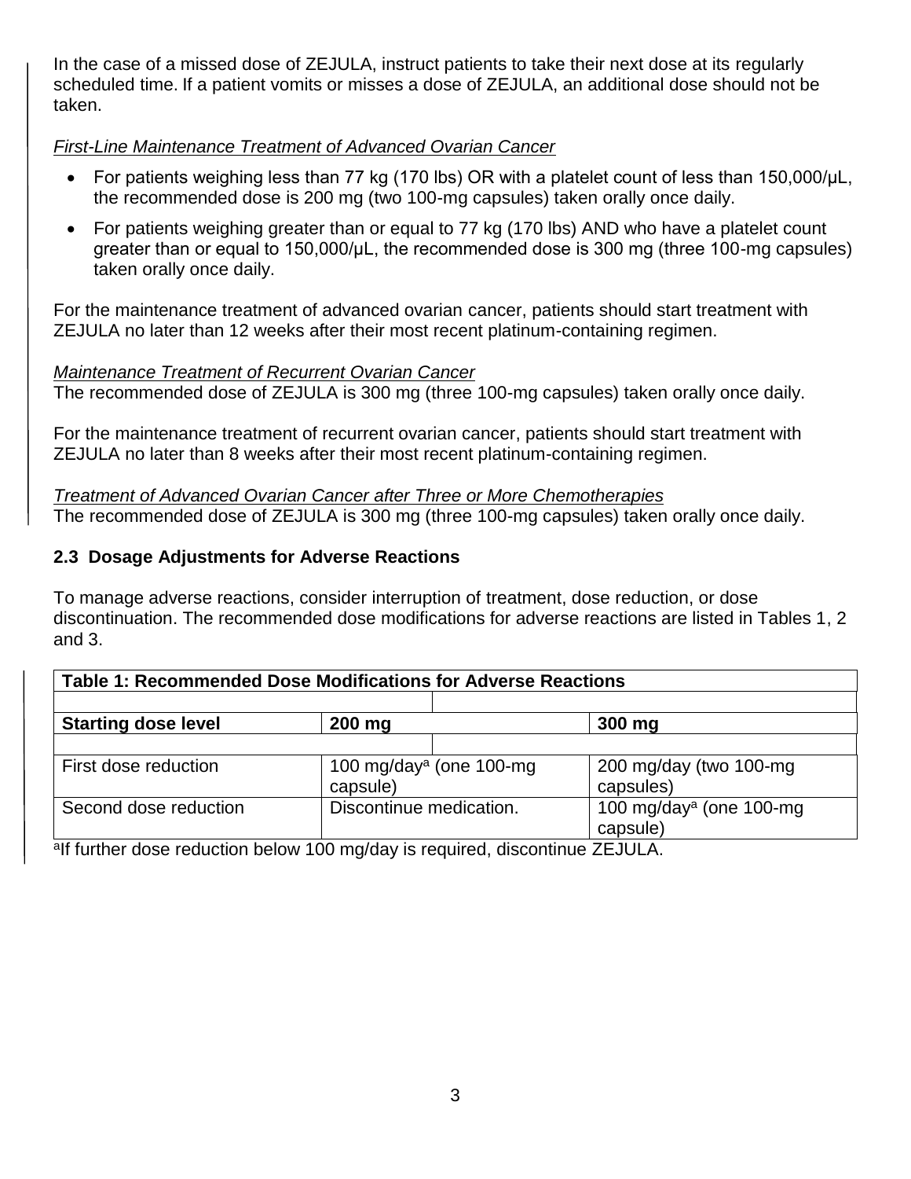In the case of a missed dose of ZEJULA, instruct patients to take their next dose at its regularly scheduled time. If a patient vomits or misses a dose of ZEJULA, an additional dose should not be taken.

## *First-Line Maintenance Treatment of Advanced Ovarian Cancer*

- For patients weighing less than 77 kg (170 lbs) OR with a platelet count of less than 150,000/μL, the recommended dose is 200 mg (two 100-mg capsules) taken orally once daily.
- For patients weighing greater than or equal to 77 kg (170 lbs) AND who have a platelet count greater than or equal to 150,000/μL, the recommended dose is 300 mg (three 100-mg capsules) taken orally once daily.

For the maintenance treatment of advanced ovarian cancer, patients should start treatment with ZEJULA no later than 12 weeks after their most recent platinum-containing regimen.

## *Maintenance Treatment of Recurrent Ovarian Cancer*

The recommended dose of ZEJULA is 300 mg (three 100-mg capsules) taken orally once daily.

For the maintenance treatment of recurrent ovarian cancer, patients should start treatment with ZEJULA no later than 8 weeks after their most recent platinum-containing regimen.

*Treatment of Advanced Ovarian Cancer after Three or More Chemotherapies* The recommended dose of ZEJULA is 300 mg (three 100-mg capsules) taken orally once daily.

## **2.3 Dosage Adjustments for Adverse Reactions**

To manage adverse reactions, consider interruption of treatment, dose reduction, or dose discontinuation. The recommended dose modifications for adverse reactions are listed in Tables 1, 2 and 3.

| <b>Table 1: Recommended Dose Modifications for Adverse Reactions</b> |                                                  |                                                  |  |  |  |  |
|----------------------------------------------------------------------|--------------------------------------------------|--------------------------------------------------|--|--|--|--|
| <b>Starting dose level</b>                                           | 200 mg                                           | 300 mg                                           |  |  |  |  |
| First dose reduction                                                 | 100 mg/day <sup>a</sup> (one 100-mg)<br>capsule) | 200 mg/day (two 100-mg)<br>capsules)             |  |  |  |  |
| Second dose reduction                                                | Discontinue medication.                          | 100 mg/day <sup>a</sup> (one 100-mg)<br>capsule) |  |  |  |  |

<sup>a</sup>lf further dose reduction below 100 mg/day is required, discontinue ZEJULA.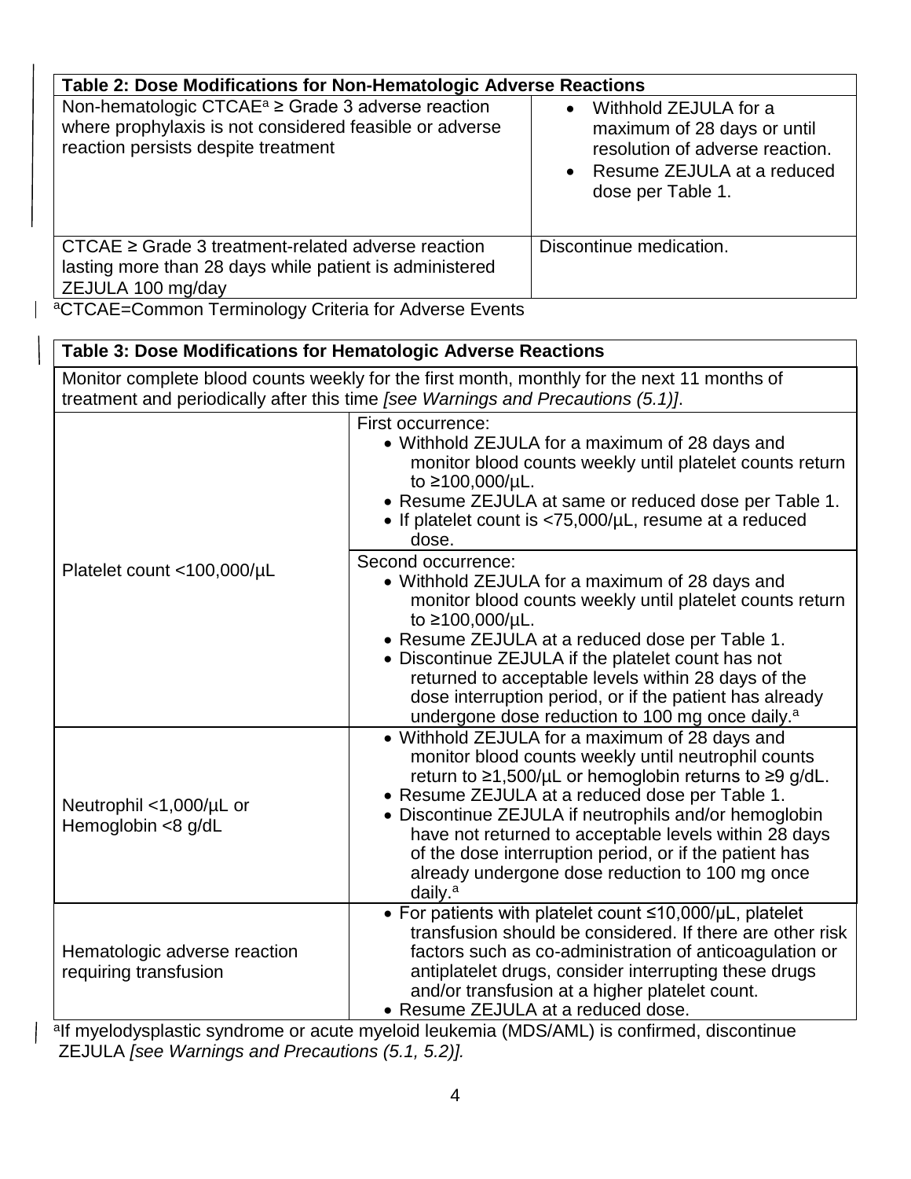| Table 2: Dose Modifications for Non-Hematologic Adverse Reactions                                                                                                                                                               |                                                                                                                                                         |  |  |  |
|---------------------------------------------------------------------------------------------------------------------------------------------------------------------------------------------------------------------------------|---------------------------------------------------------------------------------------------------------------------------------------------------------|--|--|--|
| Non-hematologic CTCAE <sup><math>a</math></sup> $\geq$ Grade 3 adverse reaction<br>where prophylaxis is not considered feasible or adverse<br>reaction persists despite treatment                                               | Withhold ZEJULA for a<br>$\bullet$<br>maximum of 28 days or until<br>resolution of adverse reaction.<br>Resume ZEJULA at a reduced<br>dose per Table 1. |  |  |  |
| $CTCAE \geq Grade$ 3 treatment-related adverse reaction<br>lasting more than 28 days while patient is administered<br>ZEJULA 100 mg/day                                                                                         | Discontinue medication.                                                                                                                                 |  |  |  |
| $20TORF$ $0.5$ $0.5$ $0.5$ $0.5$ $0.5$ $0.5$ $0.5$ $0.5$ $0.5$ $0.5$ $0.5$ $0.5$ $0.5$ $0.5$ $0.5$ $0.5$ $0.5$ $0.5$ $0.5$ $0.5$ $0.5$ $0.5$ $0.5$ $0.5$ $0.5$ $0.5$ $0.5$ $0.5$ $0.5$ $0.5$ $0.5$ $0.5$ $0.5$ $0.5$ $0.5$ $0.$ |                                                                                                                                                         |  |  |  |

<sup>a</sup>CTCAE=Common Terminology Criteria for Adverse Events

### **Table 3: Dose Modifications for Hematologic Adverse Reactions**

Monitor complete blood counts weekly for the first month, monthly for the next 11 months of treatment and periodically after this time *[see Warnings and Precautions (5.1)]*.

|                                                       | First occurrence:<br>• Withhold ZEJULA for a maximum of 28 days and<br>monitor blood counts weekly until platelet counts return<br>to ≥100,000/µL.<br>• Resume ZEJULA at same or reduced dose per Table 1.<br>• If platelet count is $<$ 75,000/ $\mu$ L, resume at a reduced<br>dose.                                                                                                                                                                                 |
|-------------------------------------------------------|------------------------------------------------------------------------------------------------------------------------------------------------------------------------------------------------------------------------------------------------------------------------------------------------------------------------------------------------------------------------------------------------------------------------------------------------------------------------|
| Platelet count <100,000/µL                            | Second occurrence:<br>• Withhold ZEJULA for a maximum of 28 days and<br>monitor blood counts weekly until platelet counts return<br>to ≥100,000/µL.<br>• Resume ZEJULA at a reduced dose per Table 1.<br>• Discontinue ZEJULA if the platelet count has not<br>returned to acceptable levels within 28 days of the<br>dose interruption period, or if the patient has already                                                                                          |
|                                                       | undergone dose reduction to 100 mg once daily. <sup>a</sup>                                                                                                                                                                                                                                                                                                                                                                                                            |
| Neutrophil <1,000/µL or<br>Hemoglobin <8 g/dL         | • Withhold ZEJULA for a maximum of 28 days and<br>monitor blood counts weekly until neutrophil counts<br>return to ≥1,500/µL or hemoglobin returns to ≥9 g/dL.<br>• Resume ZEJULA at a reduced dose per Table 1.<br>• Discontinue ZEJULA if neutrophils and/or hemoglobin<br>have not returned to acceptable levels within 28 days<br>of the dose interruption period, or if the patient has<br>already undergone dose reduction to 100 mg once<br>daily. <sup>a</sup> |
| Hematologic adverse reaction<br>requiring transfusion | • For patients with platelet count $\leq 10,000/\mu L$ , platelet<br>transfusion should be considered. If there are other risk<br>factors such as co-administration of anticoagulation or<br>antiplatelet drugs, consider interrupting these drugs<br>and/or transfusion at a higher platelet count.<br>• Resume ZEJULA at a reduced dose.                                                                                                                             |

<sup>a</sup>lf myelodysplastic syndrome or acute myeloid leukemia (MDS/AML) is confirmed, discontinue ZEJULA *[see Warnings and Precautions (5.1, 5.2)].*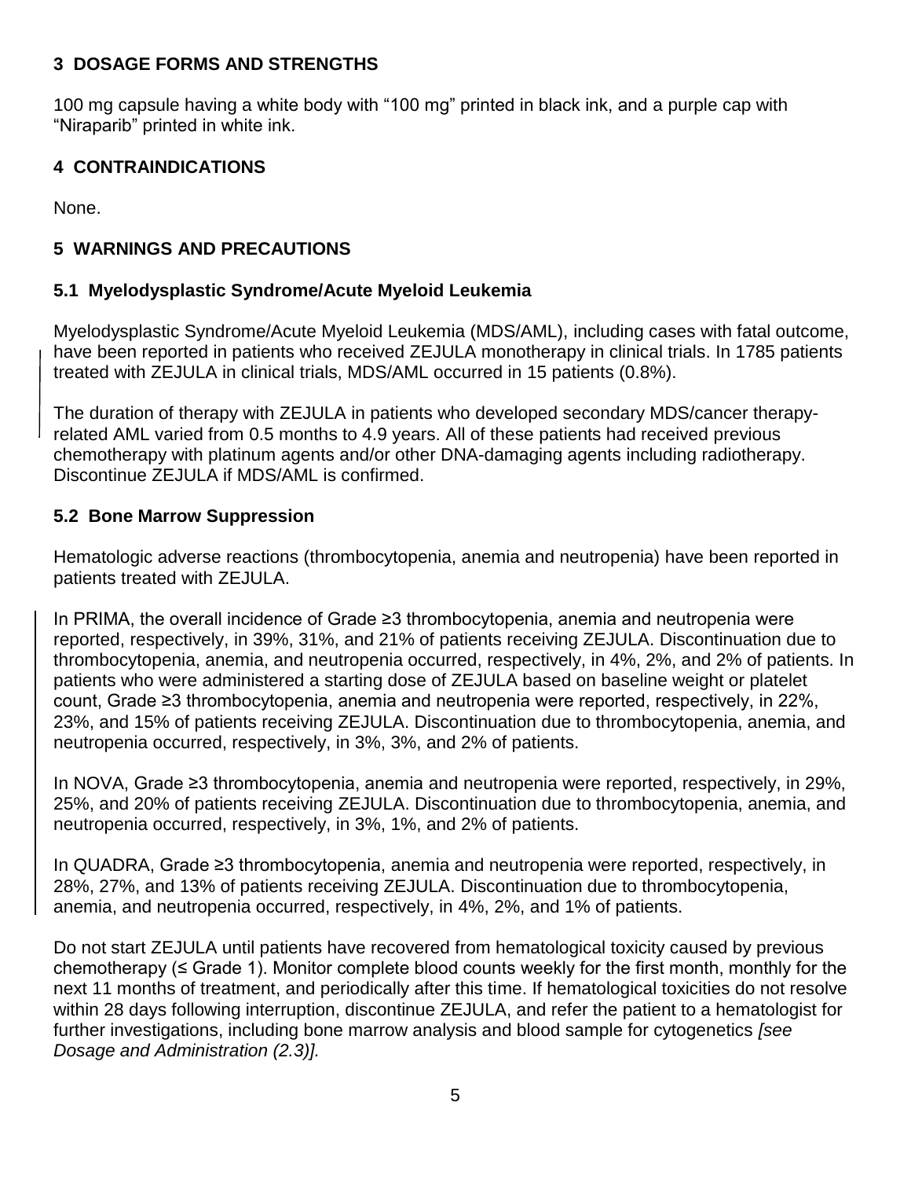### **3 DOSAGE FORMS AND STRENGTHS**

100 mg capsule having a white body with "100 mg" printed in black ink, and a purple cap with "Niraparib" printed in white ink.

## **4 CONTRAINDICATIONS**

None.

## **5 WARNINGS AND PRECAUTIONS**

## **5.1 Myelodysplastic Syndrome/Acute Myeloid Leukemia**

Myelodysplastic Syndrome/Acute Myeloid Leukemia (MDS/AML), including cases with fatal outcome, have been reported in patients who received ZEJULA monotherapy in clinical trials. In 1785 patients treated with ZEJULA in clinical trials, MDS/AML occurred in 15 patients (0.8%).

The duration of therapy with ZEJULA in patients who developed secondary MDS/cancer therapyrelated AML varied from 0.5 months to 4.9 years. All of these patients had received previous chemotherapy with platinum agents and/or other DNA-damaging agents including radiotherapy. Discontinue ZEJULA if MDS/AML is confirmed.

## **5.2 Bone Marrow Suppression**

Hematologic adverse reactions (thrombocytopenia, anemia and neutropenia) have been reported in patients treated with ZEJULA.

In PRIMA, the overall incidence of Grade ≥3 thrombocytopenia, anemia and neutropenia were reported, respectively, in 39%, 31%, and 21% of patients receiving ZEJULA. Discontinuation due to thrombocytopenia, anemia, and neutropenia occurred, respectively, in 4%, 2%, and 2% of patients. In patients who were administered a starting dose of ZEJULA based on baseline weight or platelet count, Grade ≥3 thrombocytopenia, anemia and neutropenia were reported, respectively, in 22%, 23%, and 15% of patients receiving ZEJULA. Discontinuation due to thrombocytopenia, anemia, and neutropenia occurred, respectively, in 3%, 3%, and 2% of patients.

In NOVA, Grade ≥3 thrombocytopenia, anemia and neutropenia were reported, respectively, in 29%, 25%, and 20% of patients receiving ZEJULA. Discontinuation due to thrombocytopenia, anemia, and neutropenia occurred, respectively, in 3%, 1%, and 2% of patients.

In QUADRA, Grade ≥3 thrombocytopenia, anemia and neutropenia were reported, respectively, in 28%, 27%, and 13% of patients receiving ZEJULA. Discontinuation due to thrombocytopenia, anemia, and neutropenia occurred, respectively, in 4%, 2%, and 1% of patients.

Do not start ZEJULA until patients have recovered from hematological toxicity caused by previous chemotherapy ( $\leq$  Grade 1). Monitor complete blood counts weekly for the first month, monthly for the next 11 months of treatment, and periodically after this time. If hematological toxicities do not resolve within 28 days following interruption, discontinue ZEJULA, and refer the patient to a hematologist for further investigations, including bone marrow analysis and blood sample for cytogenetics *[see Dosage and Administration (2.3)].*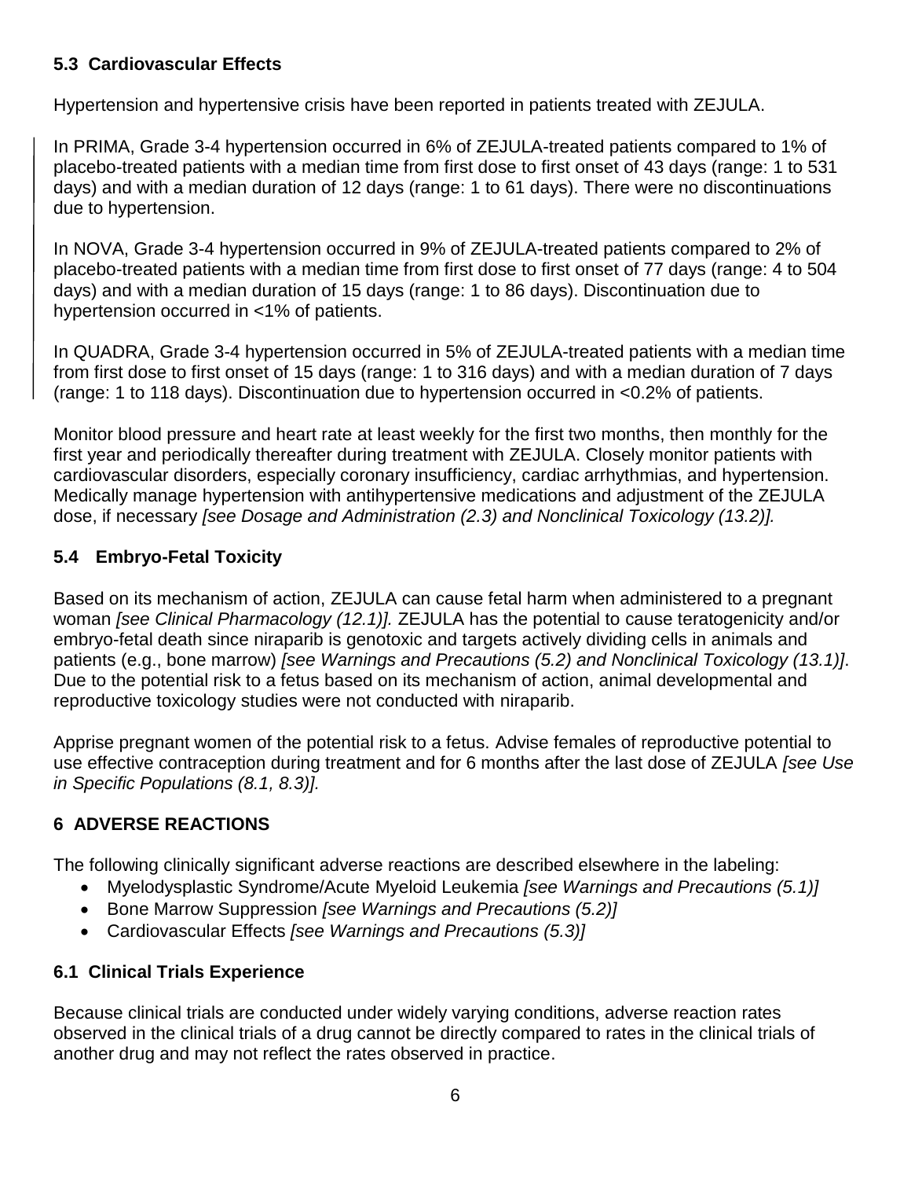## **5.3 Cardiovascular Effects**

Hypertension and hypertensive crisis have been reported in patients treated with ZEJULA.

In PRIMA, Grade 3-4 hypertension occurred in 6% of ZEJULA-treated patients compared to 1% of placebo-treated patients with a median time from first dose to first onset of 43 days (range: 1 to 531 days) and with a median duration of 12 days (range: 1 to 61 days). There were no discontinuations due to hypertension.

In NOVA, Grade 3-4 hypertension occurred in 9% of ZEJULA-treated patients compared to 2% of placebo-treated patients with a median time from first dose to first onset of 77 days (range: 4 to 504 days) and with a median duration of 15 days (range: 1 to 86 days). Discontinuation due to hypertension occurred in <1% of patients.

In QUADRA, Grade 3-4 hypertension occurred in 5% of ZEJULA-treated patients with a median time from first dose to first onset of 15 days (range: 1 to 316 days) and with a median duration of 7 days (range: 1 to 118 days). Discontinuation due to hypertension occurred in <0.2% of patients.

Monitor blood pressure and heart rate at least weekly for the first two months, then monthly for the first year and periodically thereafter during treatment with ZEJULA. Closely monitor patients with cardiovascular disorders, especially coronary insufficiency, cardiac arrhythmias, and hypertension. Medically manage hypertension with antihypertensive medications and adjustment of the ZEJULA dose, if necessary *[see Dosage and Administration (2.3) and Nonclinical Toxicology (13.2)].*

## **5.4 Embryo-Fetal Toxicity**

Based on its mechanism of action, ZEJULA can cause fetal harm when administered to a pregnant woman *[see Clinical Pharmacology (12.1)].* ZEJULA has the potential to cause teratogenicity and/or embryo-fetal death since niraparib is genotoxic and targets actively dividing cells in animals and patients (e.g., bone marrow) *[see Warnings and Precautions (5.2) and Nonclinical Toxicology (13.1)]*. Due to the potential risk to a fetus based on its mechanism of action, animal developmental and reproductive toxicology studies were not conducted with niraparib.

Apprise pregnant women of the potential risk to a fetus. Advise females of reproductive potential to use effective contraception during treatment and for 6 months after the last dose of ZEJULA *[see Use in Specific Populations (8.1, 8.3)].*

## **6 ADVERSE REACTIONS**

The following clinically significant adverse reactions are described elsewhere in the labeling:

- Myelodysplastic Syndrome/Acute Myeloid Leukemia *[see Warnings and Precautions (5.1)]*
- Bone Marrow Suppression *[see Warnings and Precautions (5.2)]*
- Cardiovascular Effects *[see Warnings and Precautions (5.3)]*

## **6.1 Clinical Trials Experience**

Because clinical trials are conducted under widely varying conditions, adverse reaction rates observed in the clinical trials of a drug cannot be directly compared to rates in the clinical trials of another drug and may not reflect the rates observed in practice.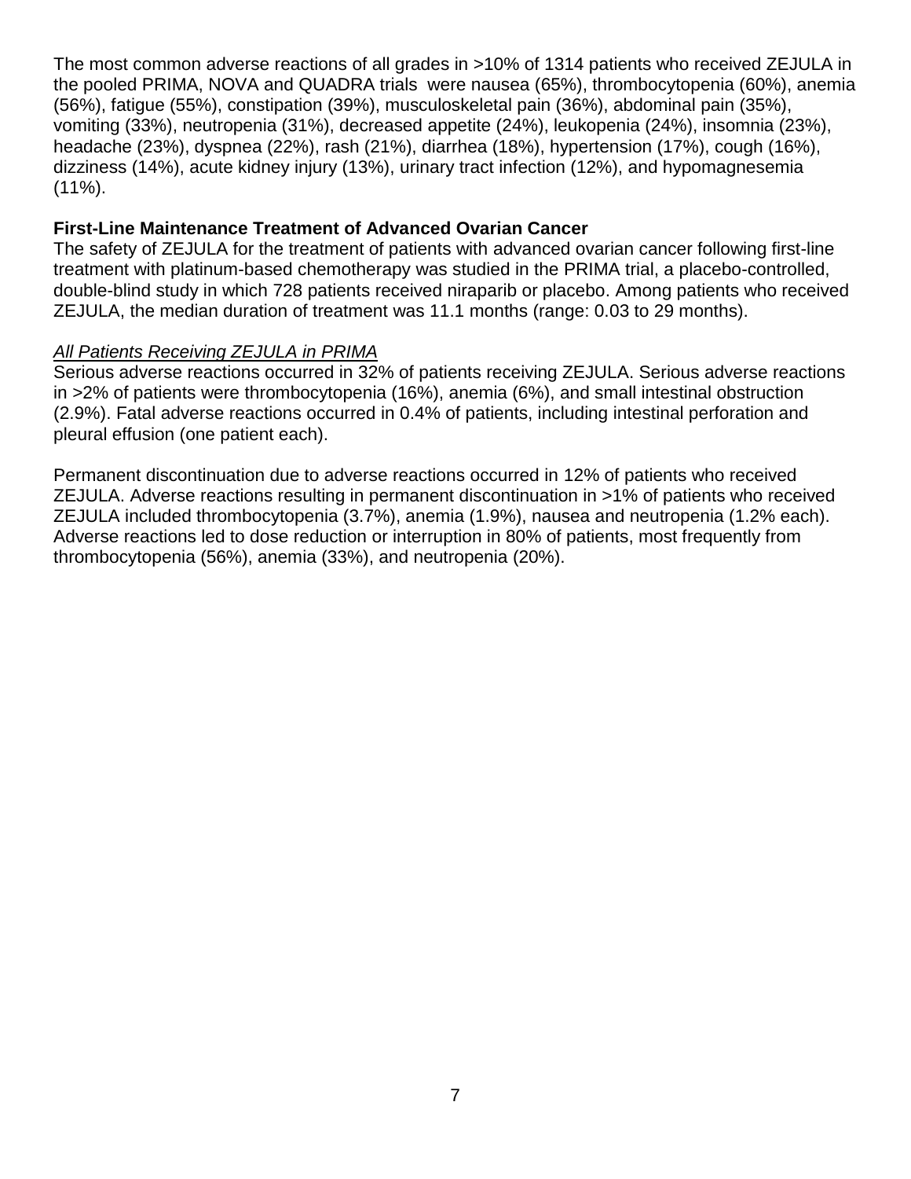The most common adverse reactions of all grades in >10% of 1314 patients who received ZEJULA in the pooled PRIMA, NOVA and QUADRA trials were nausea (65%), thrombocytopenia (60%), anemia (56%), fatigue (55%), constipation (39%), musculoskeletal pain (36%), abdominal pain (35%), vomiting (33%), neutropenia (31%), decreased appetite (24%), leukopenia (24%), insomnia (23%), headache (23%), dyspnea (22%), rash (21%), diarrhea (18%), hypertension (17%), cough (16%), dizziness (14%), acute kidney injury (13%), urinary tract infection (12%), and hypomagnesemia  $(11\%)$ .

#### **First-Line Maintenance Treatment of Advanced Ovarian Cancer**

The safety of ZEJULA for the treatment of patients with advanced ovarian cancer following first-line treatment with platinum-based chemotherapy was studied in the PRIMA trial, a placebo-controlled, double-blind study in which 728 patients received niraparib or placebo. Among patients who received ZEJULA, the median duration of treatment was 11.1 months (range: 0.03 to 29 months).

#### *All Patients Receiving ZEJULA in PRIMA*

Serious adverse reactions occurred in 32% of patients receiving ZEJULA. Serious adverse reactions in >2% of patients were thrombocytopenia (16%), anemia (6%), and small intestinal obstruction (2.9%). Fatal adverse reactions occurred in 0.4% of patients, including intestinal perforation and pleural effusion (one patient each).

Permanent discontinuation due to adverse reactions occurred in 12% of patients who received ZEJULA. Adverse reactions resulting in permanent discontinuation in >1% of patients who received ZEJULA included thrombocytopenia (3.7%), anemia (1.9%), nausea and neutropenia (1.2% each). Adverse reactions led to dose reduction or interruption in 80% of patients, most frequently from thrombocytopenia (56%), anemia (33%), and neutropenia (20%).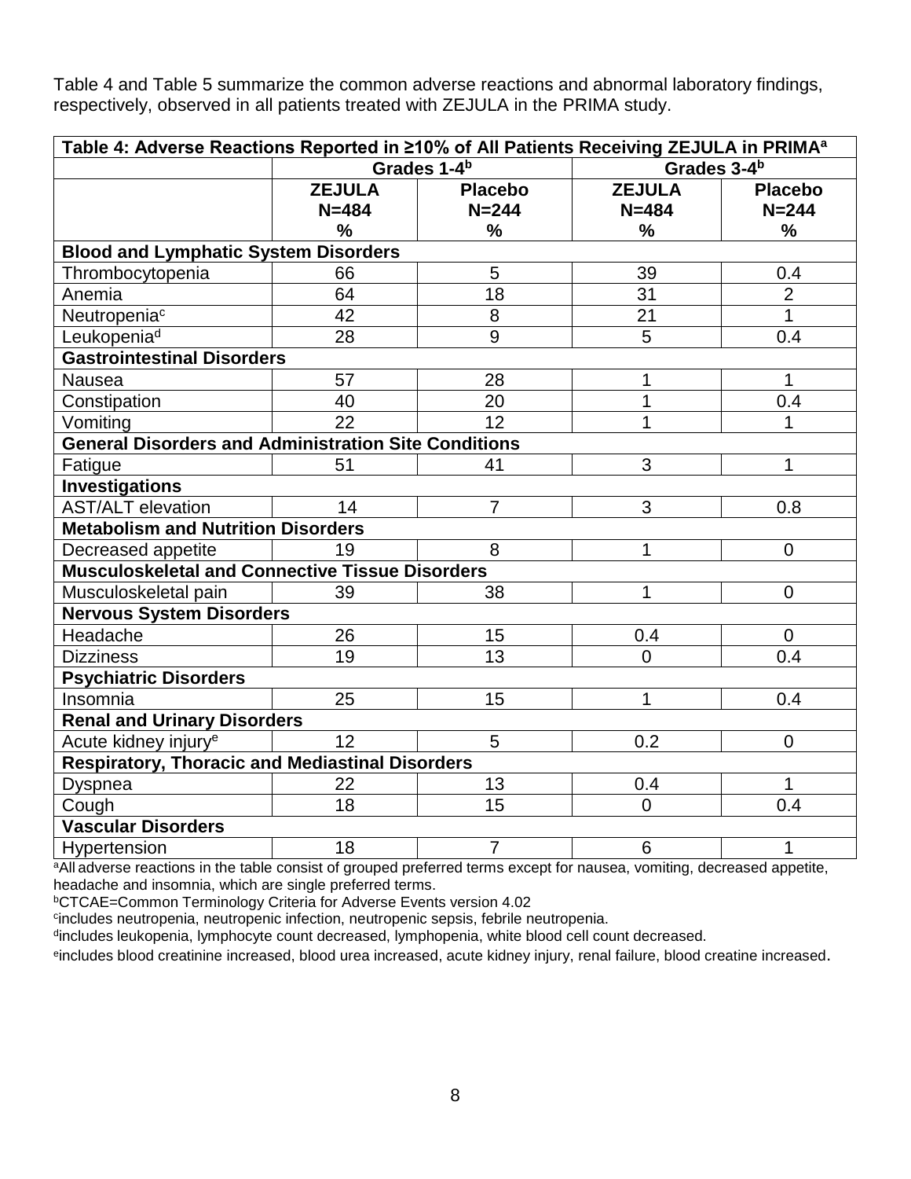Table 4 and Table 5 summarize the common adverse reactions and abnormal laboratory findings, respectively, observed in all patients treated with ZEJULA in the PRIMA study.

| Table 4: Adverse Reactions Reported in ≥10% of All Patients Receiving ZEJULA in PRIMA <sup>a</sup> |               |                         |                         |                |  |  |
|----------------------------------------------------------------------------------------------------|---------------|-------------------------|-------------------------|----------------|--|--|
|                                                                                                    |               | Grades 1-4 <sup>b</sup> | Grades 3-4 <sup>b</sup> |                |  |  |
|                                                                                                    | <b>ZEJULA</b> | <b>Placebo</b>          | <b>ZEJULA</b>           | <b>Placebo</b> |  |  |
|                                                                                                    | $N = 484$     | $N = 244$               | $N = 484$               | $N = 244$      |  |  |
|                                                                                                    | $\frac{9}{6}$ | %                       | %                       | %              |  |  |
| <b>Blood and Lymphatic System Disorders</b>                                                        |               |                         |                         |                |  |  |
| Thrombocytopenia                                                                                   | 66            | 5                       | 39                      | 0.4            |  |  |
| Anemia                                                                                             | 64            | 18                      | 31                      | $\overline{2}$ |  |  |
| Neutropenia <sup>c</sup>                                                                           | 42            | 8                       | 21                      | $\mathbf{1}$   |  |  |
| Leukopenia <sup>d</sup>                                                                            | 28            | 9                       | 5                       | 0.4            |  |  |
| <b>Gastrointestinal Disorders</b>                                                                  |               |                         |                         |                |  |  |
| Nausea                                                                                             | 57            | 28                      | 1                       | 1              |  |  |
| Constipation                                                                                       | 40            | 20                      | 1                       | 0.4            |  |  |
| Vomiting                                                                                           | 22            | 12                      | 1                       | 1              |  |  |
| <b>General Disorders and Administration Site Conditions</b>                                        |               |                         |                         |                |  |  |
| Fatigue                                                                                            | 51            | 41                      | 3                       | $\mathbf{1}$   |  |  |
| <b>Investigations</b>                                                                              |               |                         |                         |                |  |  |
| <b>AST/ALT elevation</b>                                                                           | 14            | $\overline{7}$          | 3                       | 0.8            |  |  |
| <b>Metabolism and Nutrition Disorders</b>                                                          |               |                         |                         |                |  |  |
| Decreased appetite                                                                                 | 19            | 8                       | 1                       | $\overline{0}$ |  |  |
| <b>Musculoskeletal and Connective Tissue Disorders</b>                                             |               |                         |                         |                |  |  |
| Musculoskeletal pain                                                                               | 39            | 38                      | 1                       | $\mathbf 0$    |  |  |
| <b>Nervous System Disorders</b>                                                                    |               |                         |                         |                |  |  |
| Headache                                                                                           | 26            | 15                      | 0.4                     | $\overline{0}$ |  |  |
| <b>Dizziness</b>                                                                                   | 19            | $\overline{13}$         | $\Omega$                | 0.4            |  |  |
| <b>Psychiatric Disorders</b>                                                                       |               |                         |                         |                |  |  |
| Insomnia                                                                                           | 25            | 15                      | $\mathbf 1$             | 0.4            |  |  |
| <b>Renal and Urinary Disorders</b>                                                                 |               |                         |                         |                |  |  |
| Acute kidney injury <sup>e</sup>                                                                   | 12            | 5                       | 0.2                     | $\Omega$       |  |  |
| <b>Respiratory, Thoracic and Mediastinal Disorders</b>                                             |               |                         |                         |                |  |  |
| <b>Dyspnea</b>                                                                                     | 22            | 13                      | 0.4                     | 1              |  |  |
| Cough                                                                                              | 18            | 15                      | $\overline{0}$          | 0.4            |  |  |
| <b>Vascular Disorders</b>                                                                          |               |                         |                         |                |  |  |
| Hypertension                                                                                       | 18            | $\overline{7}$          | 6                       | $\mathbf{1}$   |  |  |

aAll adverse reactions in the table consist of grouped preferred terms except for nausea, vomiting, decreased appetite, headache and insomnia, which are single preferred terms.

<sup>b</sup>CTCAE=Common Terminology Criteria for Adverse Events version 4.02

<sup>c</sup>includes neutropenia, neutropenic infection, neutropenic sepsis, febrile neutropenia.

<sup>d</sup>includes leukopenia, lymphocyte count decreased, lymphopenia, white blood cell count decreased.

eincludes blood creatinine increased, blood urea increased, acute kidney injury, renal failure, blood creatine increased.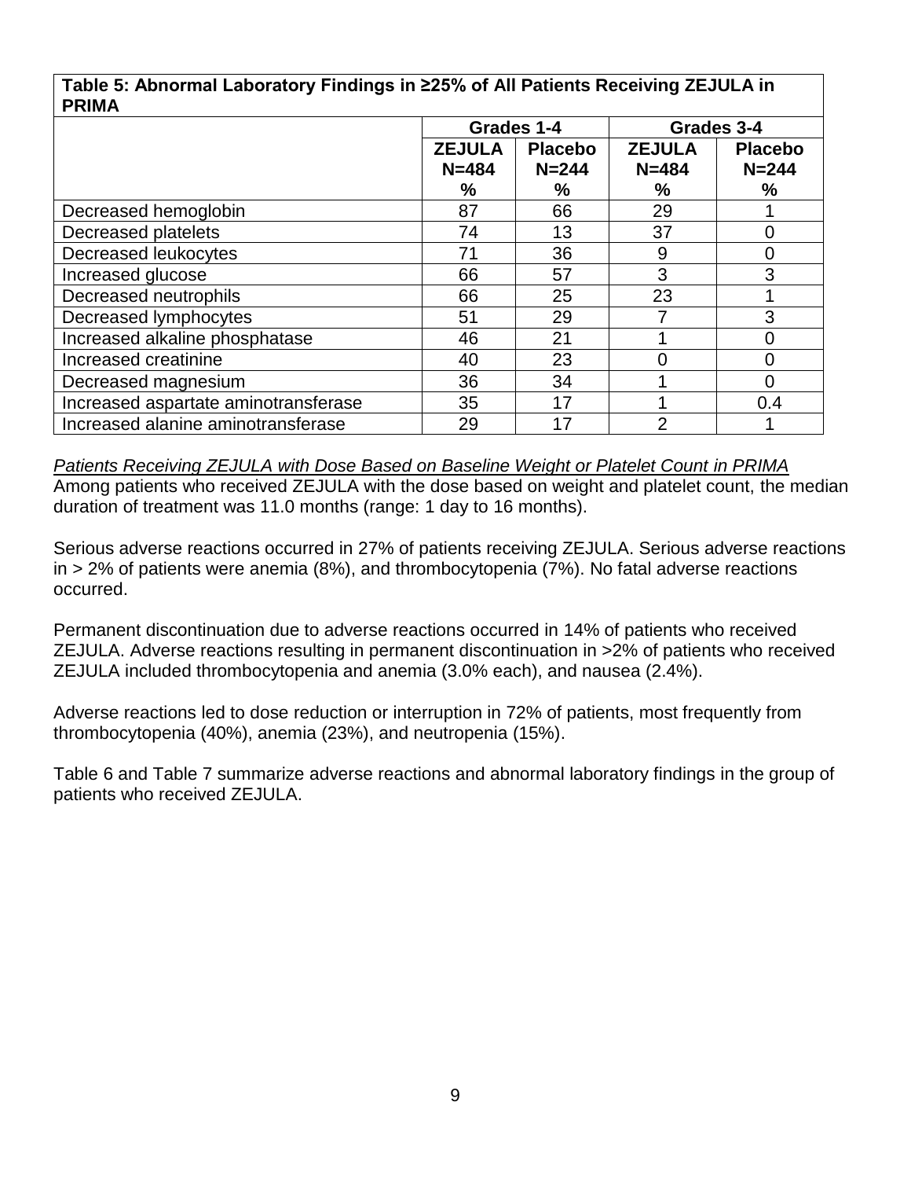|              | Table 5: Abnormal Laboratory Findings in ≥25% of All Patients Receiving ZEJULA in |
|--------------|-----------------------------------------------------------------------------------|
| <b>PRIMA</b> |                                                                                   |

| FRIMA                                |                                 |           |               |                |
|--------------------------------------|---------------------------------|-----------|---------------|----------------|
|                                      | Grades 1-4                      |           | Grades 3-4    |                |
|                                      | <b>ZEJULA</b><br><b>Placebo</b> |           | <b>ZEJULA</b> | <b>Placebo</b> |
|                                      | $N = 484$                       | $N = 244$ | $N = 484$     | $N = 244$      |
|                                      | %                               | %         | ℅             | ℅              |
| Decreased hemoglobin                 | 87                              | 66        | 29            |                |
| Decreased platelets                  | 74                              | 13        | 37            | 0              |
| Decreased leukocytes                 | 71                              | 36        | 9             | 0              |
| Increased glucose                    | 66                              | 57        | 3             | 3              |
| Decreased neutrophils                | 66                              | 25        | 23            |                |
| Decreased lymphocytes                | 51                              | 29        |               | 3              |
| Increased alkaline phosphatase       | 46                              | 21        |               |                |
| Increased creatinine                 | 40                              | 23        | 0             | 0              |
| Decreased magnesium                  | 36                              | 34        |               |                |
| Increased aspartate aminotransferase | 35                              | 17        |               | 0.4            |
| Increased alanine aminotransferase   | 29                              | 17        | 2             |                |

*Patients Receiving ZEJULA with Dose Based on Baseline Weight or Platelet Count in PRIMA* Among patients who received ZEJULA with the dose based on weight and platelet count, the median duration of treatment was 11.0 months (range: 1 day to 16 months).

Serious adverse reactions occurred in 27% of patients receiving ZEJULA. Serious adverse reactions in > 2% of patients were anemia (8%), and thrombocytopenia (7%). No fatal adverse reactions occurred.

Permanent discontinuation due to adverse reactions occurred in 14% of patients who received ZEJULA. Adverse reactions resulting in permanent discontinuation in >2% of patients who received ZEJULA included thrombocytopenia and anemia (3.0% each), and nausea (2.4%).

Adverse reactions led to dose reduction or interruption in 72% of patients, most frequently from thrombocytopenia (40%), anemia (23%), and neutropenia (15%).

Table 6 and Table 7 summarize adverse reactions and abnormal laboratory findings in the group of patients who received ZEJULA.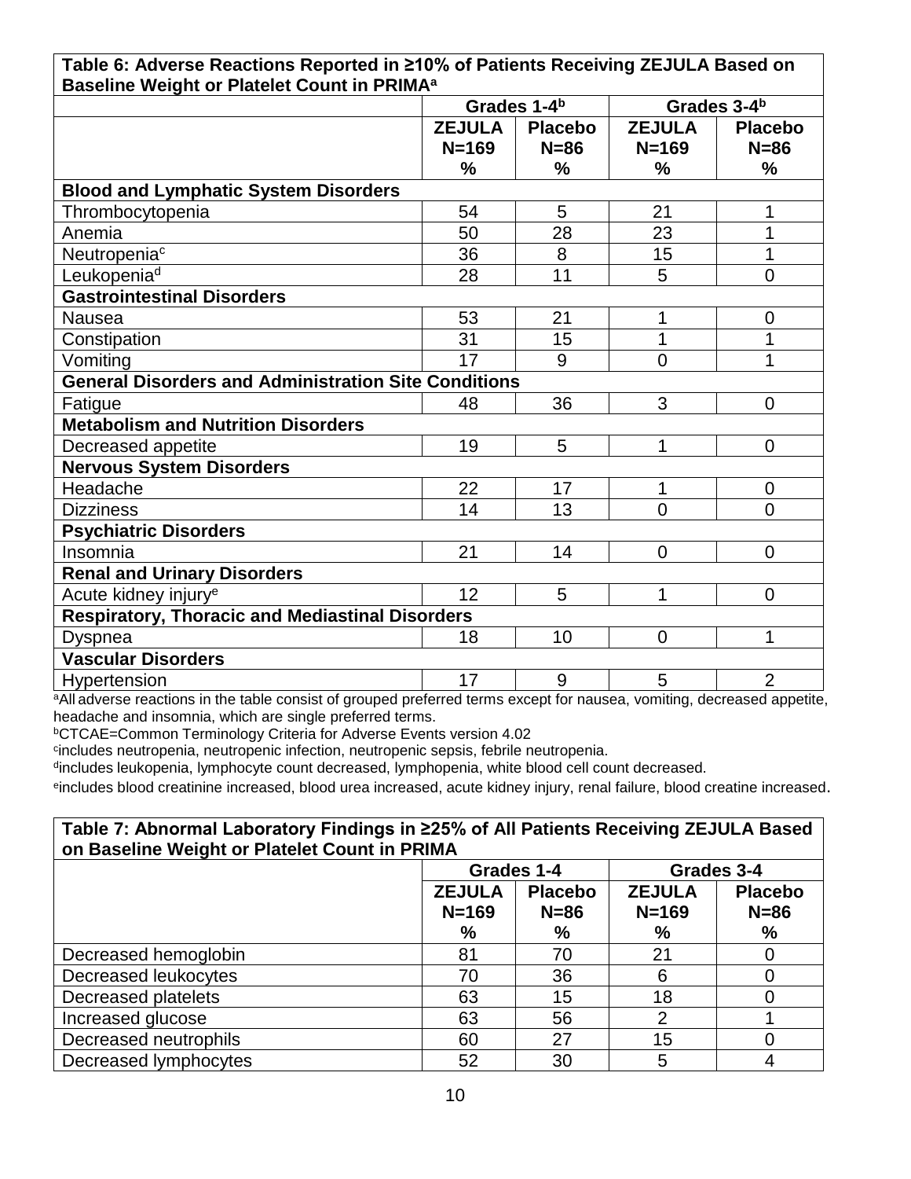| Table 6: Adverse Reactions Reported in ≥10% of Patients Receiving ZEJULA Based on |  |
|-----------------------------------------------------------------------------------|--|
| Baseline Weight or Platelet Count in PRIMA <sup>a</sup>                           |  |

| .                                                           | Grades 1-4b   |                |                | Grades 3-4 <sup>b</sup> |
|-------------------------------------------------------------|---------------|----------------|----------------|-------------------------|
|                                                             | <b>ZEJULA</b> | <b>Placebo</b> | <b>ZEJULA</b>  | <b>Placebo</b>          |
|                                                             | $N = 169$     | $N = 86$       | $N = 169$      | $N = 86$                |
|                                                             | %             | %              | %              | $\frac{9}{6}$           |
| <b>Blood and Lymphatic System Disorders</b>                 |               |                |                |                         |
| Thrombocytopenia                                            | 54            | 5              | 21             | 1                       |
| Anemia                                                      | 50            | 28             | 23             | 1                       |
| Neutropenia <sup>c</sup>                                    | 36            | 8              | 15             | 1                       |
| Leukopenia <sup>d</sup>                                     | 28            | 11             | 5              | $\overline{0}$          |
| <b>Gastrointestinal Disorders</b>                           |               |                |                |                         |
| <b>Nausea</b>                                               | 53            | 21             | 1              | $\overline{0}$          |
| Constipation                                                | 31            | 15             | 1              | 1                       |
| Vomiting                                                    | 17            | 9              | $\overline{0}$ | 1                       |
| <b>General Disorders and Administration Site Conditions</b> |               |                |                |                         |
| Fatigue                                                     | 48            | 36             | 3              | $\Omega$                |
| <b>Metabolism and Nutrition Disorders</b>                   |               |                |                |                         |
| Decreased appetite                                          | 19            | 5              | 1              | $\Omega$                |
| <b>Nervous System Disorders</b>                             |               |                |                |                         |
| Headache                                                    | 22            | 17             | 1              | $\overline{0}$          |
| <b>Dizziness</b>                                            | 14            | 13             | $\Omega$       | $\Omega$                |
| <b>Psychiatric Disorders</b>                                |               |                |                |                         |
| Insomnia                                                    | 21            | 14             | $\overline{0}$ | $\overline{0}$          |
| <b>Renal and Urinary Disorders</b>                          |               |                |                |                         |
| Acute kidney injury <sup>e</sup>                            | 12            | 5              | 1              | $\Omega$                |
| <b>Respiratory, Thoracic and Mediastinal Disorders</b>      |               |                |                |                         |
| <b>Dyspnea</b>                                              | 18            | 10             | $\overline{0}$ | 1                       |
| <b>Vascular Disorders</b>                                   |               |                |                |                         |
| <b>Hypertension</b>                                         | 17            | 9              | 5              | $\overline{2}$          |

<sup>a</sup>All adverse reactions in the table consist of grouped preferred terms except for nausea, vomiting, decreased appetite, headache and insomnia, which are single preferred terms.

**bCTCAE=Common Terminology Criteria for Adverse Events version 4.02** 

<sup>c</sup>includes neutropenia, neutropenic infection, neutropenic sepsis, febrile neutropenia.

<sup>d</sup>includes leukopenia, lymphocyte count decreased, lymphopenia, white blood cell count decreased.

eincludes blood creatinine increased, blood urea increased, acute kidney injury, renal failure, blood creatine increased.

### **Table 7: Abnormal Laboratory Findings in ≥25% of All Patients Receiving ZEJULA Based on Baseline Weight or Platelet Count in PRIMA**

|                       | Grades 1-4                                             |    |                            | Grades 3-4               |
|-----------------------|--------------------------------------------------------|----|----------------------------|--------------------------|
|                       | <b>ZEJULA</b><br><b>Placebo</b><br>$N = 169$<br>$N=86$ |    | <b>ZEJULA</b><br>$N = 169$ | <b>Placebo</b><br>$N=86$ |
|                       | $\%$                                                   | %  | $\%$                       | %                        |
| Decreased hemoglobin  | 81                                                     | 70 | 21                         |                          |
| Decreased leukocytes  | 70                                                     | 36 | 6                          |                          |
| Decreased platelets   | 63                                                     | 15 | 18                         |                          |
| Increased glucose     | 63                                                     | 56 |                            |                          |
| Decreased neutrophils | 60                                                     | 27 | 15                         |                          |
| Decreased lymphocytes | 52                                                     | 30 |                            |                          |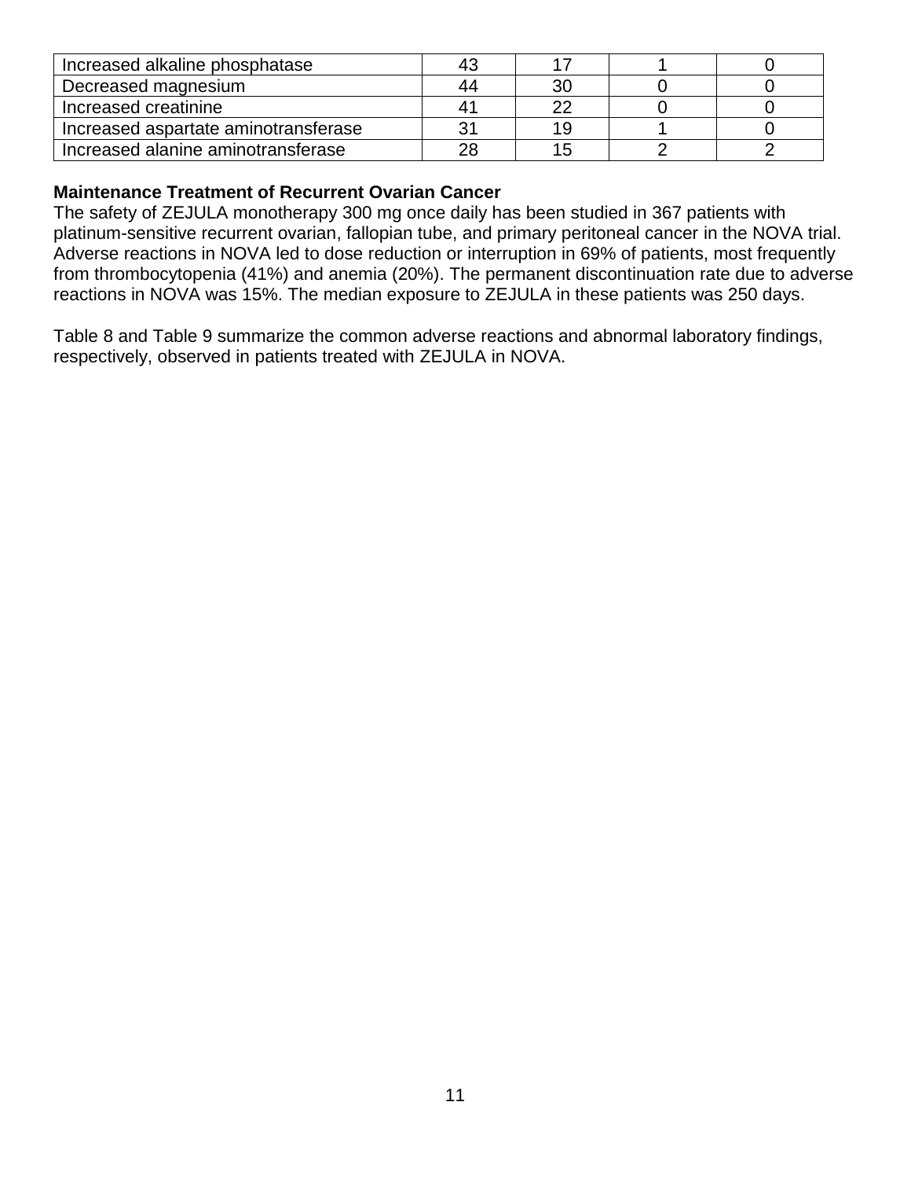| Increased alkaline phosphatase       | 43 |     |  |
|--------------------------------------|----|-----|--|
| Decreased magnesium                  | 44 |     |  |
| Increased creatinine                 | 41 |     |  |
| Increased aspartate aminotransferase | 31 | 1 u |  |
| Increased alanine aminotransferase   | 28 |     |  |

### **Maintenance Treatment of Recurrent Ovarian Cancer**

The safety of ZEJULA monotherapy 300 mg once daily has been studied in 367 patients with platinum-sensitive recurrent ovarian, fallopian tube, and primary peritoneal cancer in the NOVA trial. Adverse reactions in NOVA led to dose reduction or interruption in 69% of patients, most frequently from thrombocytopenia (41%) and anemia (20%). The permanent discontinuation rate due to adverse reactions in NOVA was 15%. The median exposure to ZEJULA in these patients was 250 days.

Table 8 and Table 9 summarize the common adverse reactions and abnormal laboratory findings, respectively, observed in patients treated with ZEJULA in NOVA.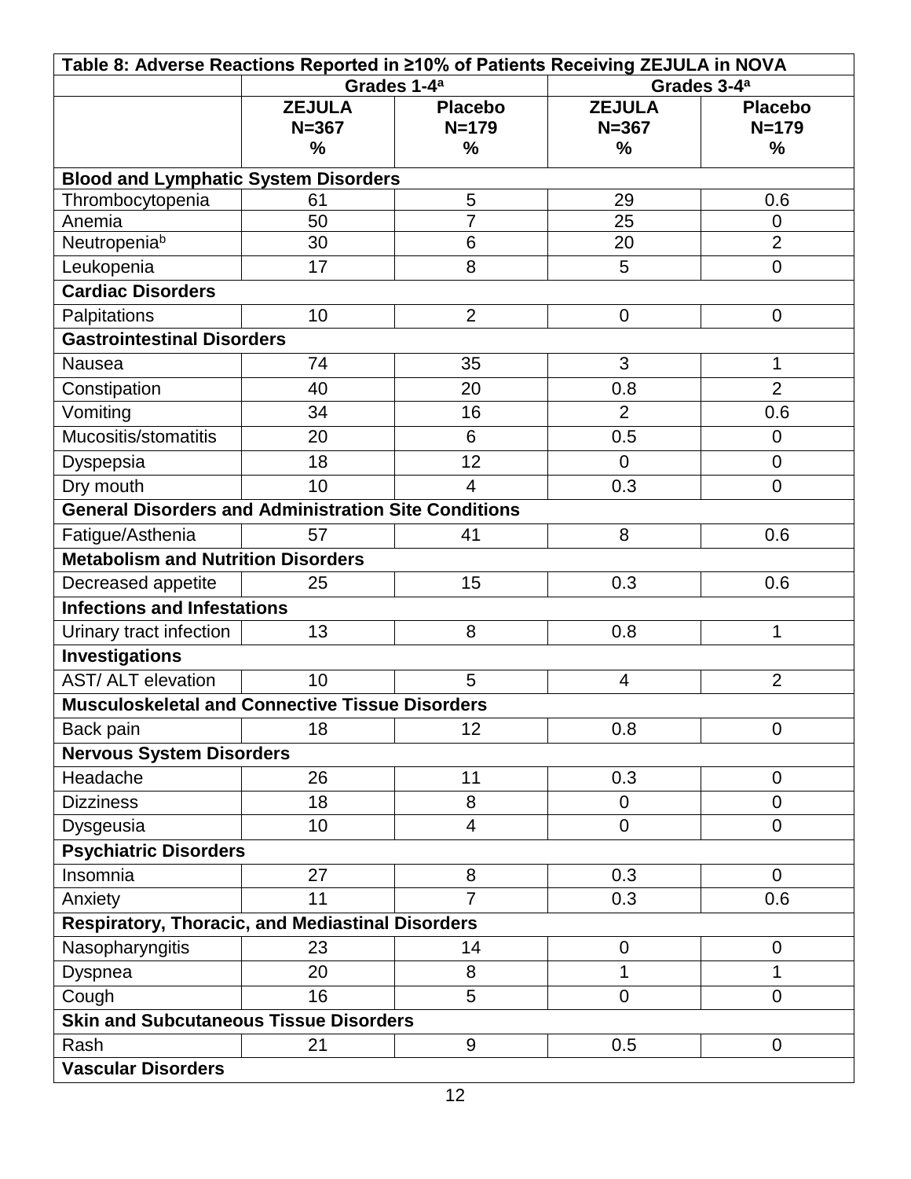| Table 8: Adverse Reactions Reported in ≥10% of Patients Receiving ZEJULA in NOVA |               |                                                    |                |                |
|----------------------------------------------------------------------------------|---------------|----------------------------------------------------|----------------|----------------|
|                                                                                  |               | Grades 1-4 <sup>a</sup><br>Grades 3-4 <sup>a</sup> |                |                |
|                                                                                  | <b>ZEJULA</b> | <b>Placebo</b>                                     | <b>ZEJULA</b>  | <b>Placebo</b> |
|                                                                                  | $N = 367$     | $N = 179$                                          | $N = 367$      | $N = 179$      |
|                                                                                  | %             | %                                                  | %              | %              |
| <b>Blood and Lymphatic System Disorders</b>                                      |               |                                                    |                |                |
| Thrombocytopenia                                                                 | 61            | 5                                                  | 29             | 0.6            |
| Anemia                                                                           | 50            | 7                                                  | 25             | $\mathbf 0$    |
| Neutropeniab                                                                     | 30            | 6                                                  | 20             | $\overline{2}$ |
| Leukopenia                                                                       | 17            | 8                                                  | 5              | $\mathbf 0$    |
| <b>Cardiac Disorders</b>                                                         |               |                                                    |                |                |
| Palpitations                                                                     | 10            | $\overline{2}$                                     | $\mathbf 0$    | $\overline{0}$ |
| <b>Gastrointestinal Disorders</b>                                                |               |                                                    |                |                |
| <b>Nausea</b>                                                                    | 74            | 35                                                 | 3              | 1              |
| Constipation                                                                     | 40            | 20                                                 | 0.8            | $\overline{2}$ |
| Vomiting                                                                         | 34            | 16                                                 | $\overline{2}$ | 0.6            |
| Mucositis/stomatitis                                                             | 20            | 6                                                  | 0.5            | $\overline{0}$ |
| Dyspepsia                                                                        | 18            | 12                                                 | $\mathbf 0$    | $\overline{0}$ |
| Dry mouth                                                                        | 10            | $\overline{4}$                                     | 0.3            | $\overline{0}$ |
| <b>General Disorders and Administration Site Conditions</b>                      |               |                                                    |                |                |
| Fatigue/Asthenia                                                                 | 57            | 41                                                 | 8              | 0.6            |
| <b>Metabolism and Nutrition Disorders</b>                                        |               |                                                    |                |                |
| Decreased appetite                                                               | 25            | 15                                                 | 0.3            | 0.6            |
| <b>Infections and Infestations</b>                                               |               |                                                    |                |                |
| Urinary tract infection                                                          | 13            | 8                                                  | 0.8            | 1              |
| <b>Investigations</b>                                                            |               |                                                    |                |                |
| <b>AST/ALT</b> elevation                                                         | 10            | 5                                                  | 4              | $\overline{2}$ |
| <b>Musculoskeletal and Connective Tissue Disorders</b>                           |               |                                                    |                |                |
| Back pain                                                                        | 18            | 12                                                 | 0.8            | $\mathbf 0$    |
| <b>Nervous System Disorders</b>                                                  |               |                                                    |                |                |
| Headache                                                                         | 26            | 11                                                 | 0.3            | $\mathbf 0$    |
| <b>Dizziness</b>                                                                 | 18            | 8                                                  | $\mathbf 0$    | $\Omega$       |
| Dysgeusia                                                                        | 10            | 4                                                  | $\overline{0}$ | $\Omega$       |
|                                                                                  |               |                                                    |                |                |
| <b>Psychiatric Disorders</b><br>Insomnia                                         | 27            | 8                                                  | 0.3            | $\overline{0}$ |
|                                                                                  | 11            | 7                                                  | 0.3            |                |
| Anxiety                                                                          |               |                                                    |                | 0.6            |
| <b>Respiratory, Thoracic, and Mediastinal Disorders</b>                          |               |                                                    |                |                |
| Nasopharyngitis                                                                  | 23            | 14                                                 | 0              | $\mathbf 0$    |
| Dyspnea                                                                          | 20            | 8                                                  | 1              | 1              |
| Cough                                                                            | 16            | 5                                                  | $\overline{0}$ | $\Omega$       |
| <b>Skin and Subcutaneous Tissue Disorders</b>                                    |               |                                                    |                |                |
| Rash                                                                             | 21            | 9                                                  | 0.5            | $\mathbf 0$    |
| <b>Vascular Disorders</b>                                                        |               |                                                    |                |                |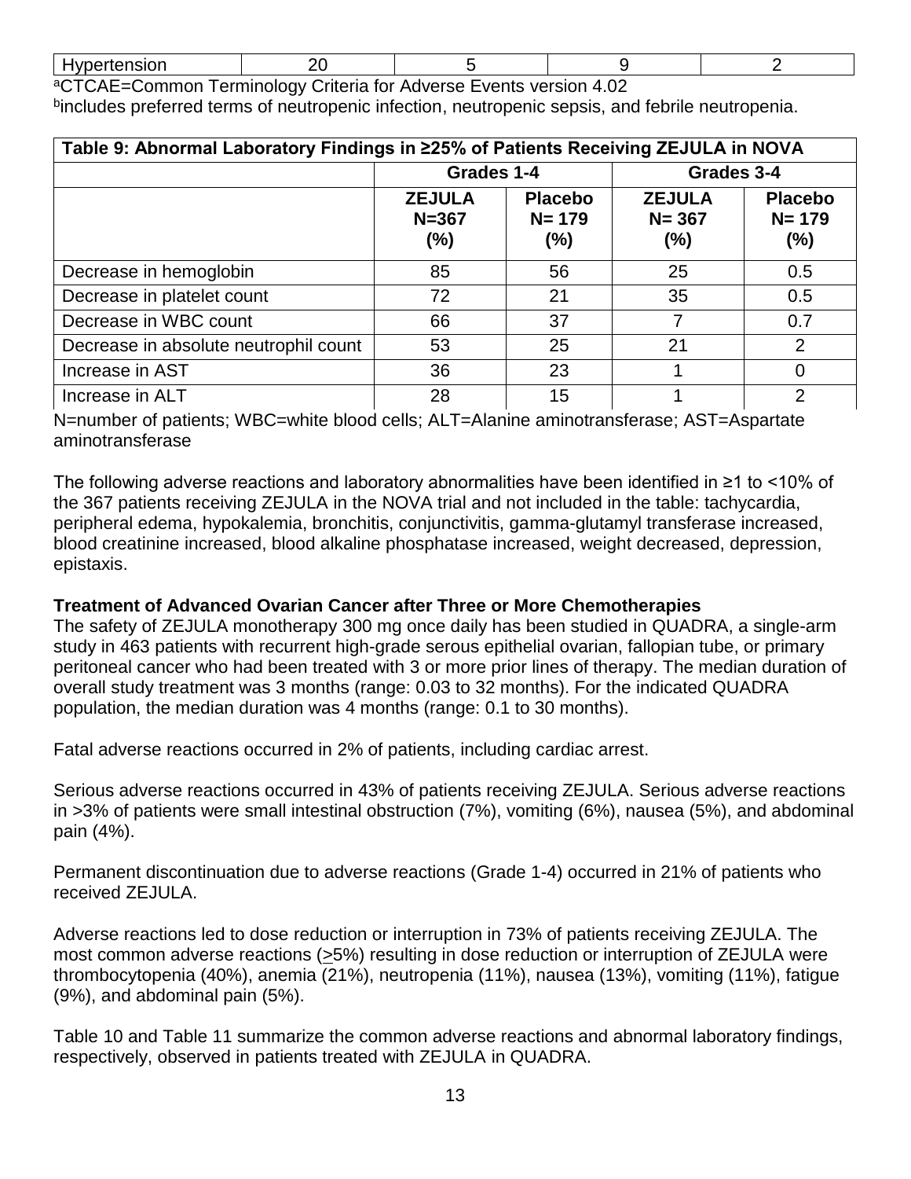| Hypertension                                                       |  |  |  |  |  |
|--------------------------------------------------------------------|--|--|--|--|--|
| aCTCAE=Common Terminology Criteria for Adverse Events version 4.02 |  |  |  |  |  |

bincludes preferred terms of neutropenic infection, neutropenic sepsis, and febrile neutropenia.

| Table 9: Abnormal Laboratory Findings in ≥25% of Patients Receiving ZEJULA in NOVA |                                      |                                       |                                      |                                       |
|------------------------------------------------------------------------------------|--------------------------------------|---------------------------------------|--------------------------------------|---------------------------------------|
|                                                                                    | Grades 1-4                           |                                       | Grades 3-4                           |                                       |
|                                                                                    | <b>ZEJULA</b><br>$N = 367$<br>$(\%)$ | <b>Placebo</b><br>$N = 179$<br>$(\%)$ | <b>ZEJULA</b><br>$N = 367$<br>$(\%)$ | <b>Placebo</b><br>$N = 179$<br>$(\%)$ |
| Decrease in hemoglobin                                                             | 85                                   | 56                                    | 25                                   | 0.5                                   |
| Decrease in platelet count                                                         | 72                                   | 21                                    | 35                                   | 0.5                                   |
| Decrease in WBC count                                                              | 66                                   | 37                                    | 7                                    | 0.7                                   |
| Decrease in absolute neutrophil count                                              | 53                                   | 25                                    | 21                                   | 2                                     |
| Increase in AST                                                                    | 36                                   | 23                                    |                                      | $\Omega$                              |
| Increase in ALT                                                                    | 28                                   | 15                                    |                                      | 2                                     |

N=number of patients; WBC=white blood cells; ALT=Alanine aminotransferase; AST=Aspartate aminotransferase

The following adverse reactions and laboratory abnormalities have been identified in ≥1 to <10% of the 367 patients receiving ZEJULA in the NOVA trial and not included in the table: tachycardia, peripheral edema, hypokalemia, bronchitis, conjunctivitis, gamma-glutamyl transferase increased, blood creatinine increased, blood alkaline phosphatase increased, weight decreased, depression, epistaxis.

#### **Treatment of Advanced Ovarian Cancer after Three or More Chemotherapies**

The safety of ZEJULA monotherapy 300 mg once daily has been studied in QUADRA, a single-arm study in 463 patients with recurrent high-grade serous epithelial ovarian, fallopian tube, or primary peritoneal cancer who had been treated with 3 or more prior lines of therapy. The median duration of overall study treatment was 3 months (range: 0.03 to 32 months). For the indicated QUADRA population, the median duration was 4 months (range: 0.1 to 30 months).

Fatal adverse reactions occurred in 2% of patients, including cardiac arrest.

Serious adverse reactions occurred in 43% of patients receiving ZEJULA. Serious adverse reactions in >3% of patients were small intestinal obstruction (7%), vomiting (6%), nausea (5%), and abdominal pain (4%).

Permanent discontinuation due to adverse reactions (Grade 1-4) occurred in 21% of patients who received ZEJULA.

Adverse reactions led to dose reduction or interruption in 73% of patients receiving ZEJULA. The most common adverse reactions (>5%) resulting in dose reduction or interruption of ZEJULA were thrombocytopenia (40%), anemia (21%), neutropenia (11%), nausea (13%), vomiting (11%), fatigue (9%), and abdominal pain (5%).

Table 10 and Table 11 summarize the common adverse reactions and abnormal laboratory findings, respectively, observed in patients treated with ZEJULA in QUADRA.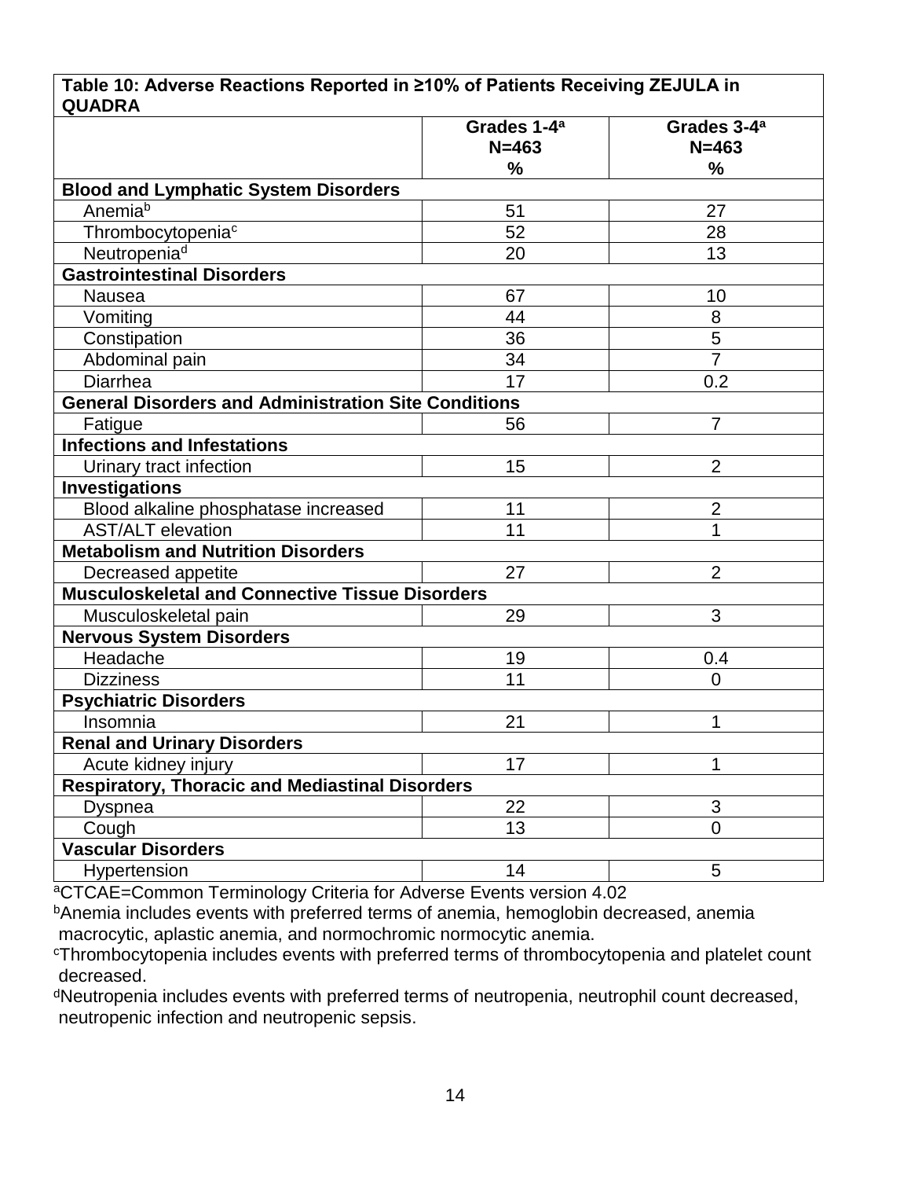#### **Table 10: Adverse Reactions Reported in ≥10% of Patients Receiving ZEJULA in QUADRA**

|                                                             | Grades 1-4 <sup>a</sup><br>$N = 463$ | Grades 3-4 <sup>a</sup><br>$N = 463$ |
|-------------------------------------------------------------|--------------------------------------|--------------------------------------|
|                                                             | %                                    | $\frac{9}{6}$                        |
| <b>Blood and Lymphatic System Disorders</b>                 |                                      |                                      |
| Anemiab                                                     | 51                                   | 27                                   |
| Thrombocytopenia <sup>c</sup>                               | 52                                   | 28                                   |
| Neutropenia <sup>d</sup>                                    | 20                                   | 13                                   |
| <b>Gastrointestinal Disorders</b>                           |                                      |                                      |
| Nausea                                                      | 67                                   | 10                                   |
| Vomiting                                                    | 44                                   | 8                                    |
| Constipation                                                | 36                                   | 5                                    |
| Abdominal pain                                              | 34                                   | $\overline{7}$                       |
| Diarrhea                                                    | 17                                   | 0.2                                  |
| <b>General Disorders and Administration Site Conditions</b> |                                      |                                      |
| Fatigue                                                     | 56                                   | $\overline{7}$                       |
| <b>Infections and Infestations</b>                          |                                      |                                      |
| Urinary tract infection                                     | 15                                   | $\overline{2}$                       |
| <b>Investigations</b>                                       |                                      |                                      |
| Blood alkaline phosphatase increased                        | 11                                   | $\overline{2}$                       |
| <b>AST/ALT elevation</b>                                    | 11                                   | 1                                    |
| <b>Metabolism and Nutrition Disorders</b>                   |                                      |                                      |
| Decreased appetite                                          | 27                                   | $\overline{2}$                       |
| <b>Musculoskeletal and Connective Tissue Disorders</b>      |                                      |                                      |
| Musculoskeletal pain                                        | 29                                   | 3                                    |
| <b>Nervous System Disorders</b>                             |                                      |                                      |
| Headache                                                    | 19                                   | 0.4                                  |
| <b>Dizziness</b>                                            | 11                                   | $\overline{0}$                       |
| <b>Psychiatric Disorders</b>                                |                                      |                                      |
| Insomnia                                                    | 21                                   | 1                                    |
| <b>Renal and Urinary Disorders</b>                          |                                      |                                      |
| Acute kidney injury                                         | 17                                   | 1                                    |
| <b>Respiratory, Thoracic and Mediastinal Disorders</b>      |                                      |                                      |
| <b>Dyspnea</b>                                              | 22                                   | 3                                    |
| Cough                                                       | 13                                   | $\overline{0}$                       |
| <b>Vascular Disorders</b>                                   |                                      |                                      |
| Hypertension                                                | 14                                   | 5                                    |

<sup>a</sup>CTCAE=Common Terminology Criteria for Adverse Events version 4.02

**bAnemia includes events with preferred terms of anemia, hemoglobin decreased, anemia** macrocytic, aplastic anemia, and normochromic normocytic anemia.

<sup>c</sup>Thrombocytopenia includes events with preferred terms of thrombocytopenia and platelet count decreased.

<sup>d</sup>Neutropenia includes events with preferred terms of neutropenia, neutrophil count decreased, neutropenic infection and neutropenic sepsis.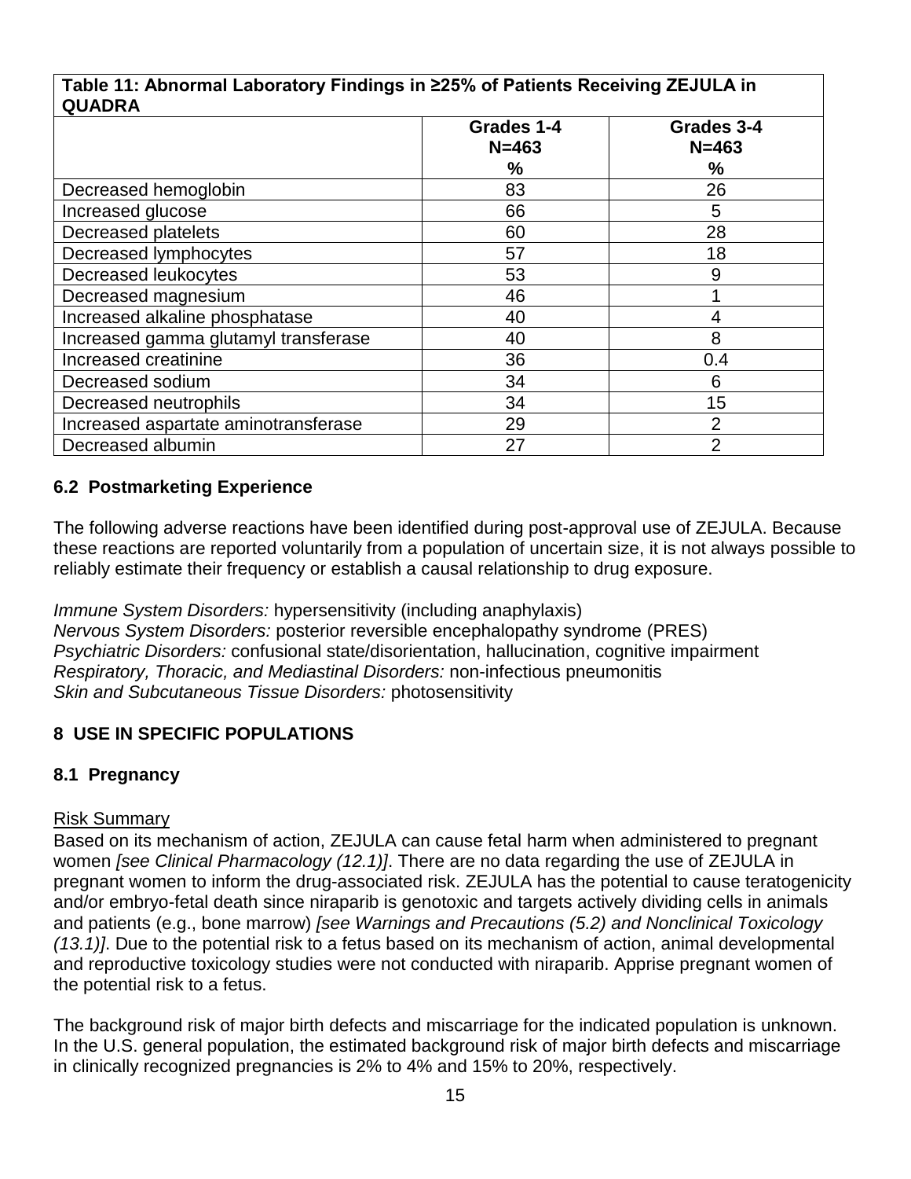#### **Table 11: Abnormal Laboratory Findings in ≥25% of Patients Receiving ZEJULA in QUADRA**

| QUADRA                               |            |                |  |  |
|--------------------------------------|------------|----------------|--|--|
|                                      | Grades 1-4 | Grades 3-4     |  |  |
|                                      | $N = 463$  | $N = 463$      |  |  |
|                                      | $\%$       | $\frac{9}{6}$  |  |  |
| Decreased hemoglobin                 | 83         | 26             |  |  |
| Increased glucose                    | 66         | 5              |  |  |
| Decreased platelets                  | 60         | 28             |  |  |
| Decreased lymphocytes                | 57         | 18             |  |  |
| Decreased leukocytes                 | 53         | 9              |  |  |
| Decreased magnesium                  | 46         |                |  |  |
| Increased alkaline phosphatase       | 40         | 4              |  |  |
| Increased gamma glutamyl transferase | 40         | 8              |  |  |
| Increased creatinine                 | 36         | 0.4            |  |  |
| Decreased sodium                     | 34         | 6              |  |  |
| Decreased neutrophils                | 34         | 15             |  |  |
| Increased aspartate aminotransferase | 29         | $\overline{2}$ |  |  |
| Decreased albumin                    | 27         | $\overline{2}$ |  |  |

## **6.2 Postmarketing Experience**

The following adverse reactions have been identified during post-approval use of ZEJULA. Because these reactions are reported voluntarily from a population of uncertain size, it is not always possible to reliably estimate their frequency or establish a causal relationship to drug exposure.

*Immune System Disorders:* hypersensitivity (including anaphylaxis) *Nervous System Disorders:* posterior reversible encephalopathy syndrome (PRES) *Psychiatric Disorders:* confusional state/disorientation, hallucination, cognitive impairment *Respiratory, Thoracic, and Mediastinal Disorders:* non-infectious pneumonitis *Skin and Subcutaneous Tissue Disorders:* photosensitivity

## **8 USE IN SPECIFIC POPULATIONS**

### **8.1 Pregnancy**

### Risk Summary

Based on its mechanism of action, ZEJULA can cause fetal harm when administered to pregnant women *[see Clinical Pharmacology (12.1)]*. There are no data regarding the use of ZEJULA in pregnant women to inform the drug-associated risk. ZEJULA has the potential to cause teratogenicity and/or embryo-fetal death since niraparib is genotoxic and targets actively dividing cells in animals and patients (e.g., bone marrow) *[see Warnings and Precautions (5.2) and Nonclinical Toxicology (13.1)]*. Due to the potential risk to a fetus based on its mechanism of action, animal developmental and reproductive toxicology studies were not conducted with niraparib. Apprise pregnant women of the potential risk to a fetus.

The background risk of major birth defects and miscarriage for the indicated population is unknown. In the U.S. general population, the estimated background risk of major birth defects and miscarriage in clinically recognized pregnancies is 2% to 4% and 15% to 20%, respectively.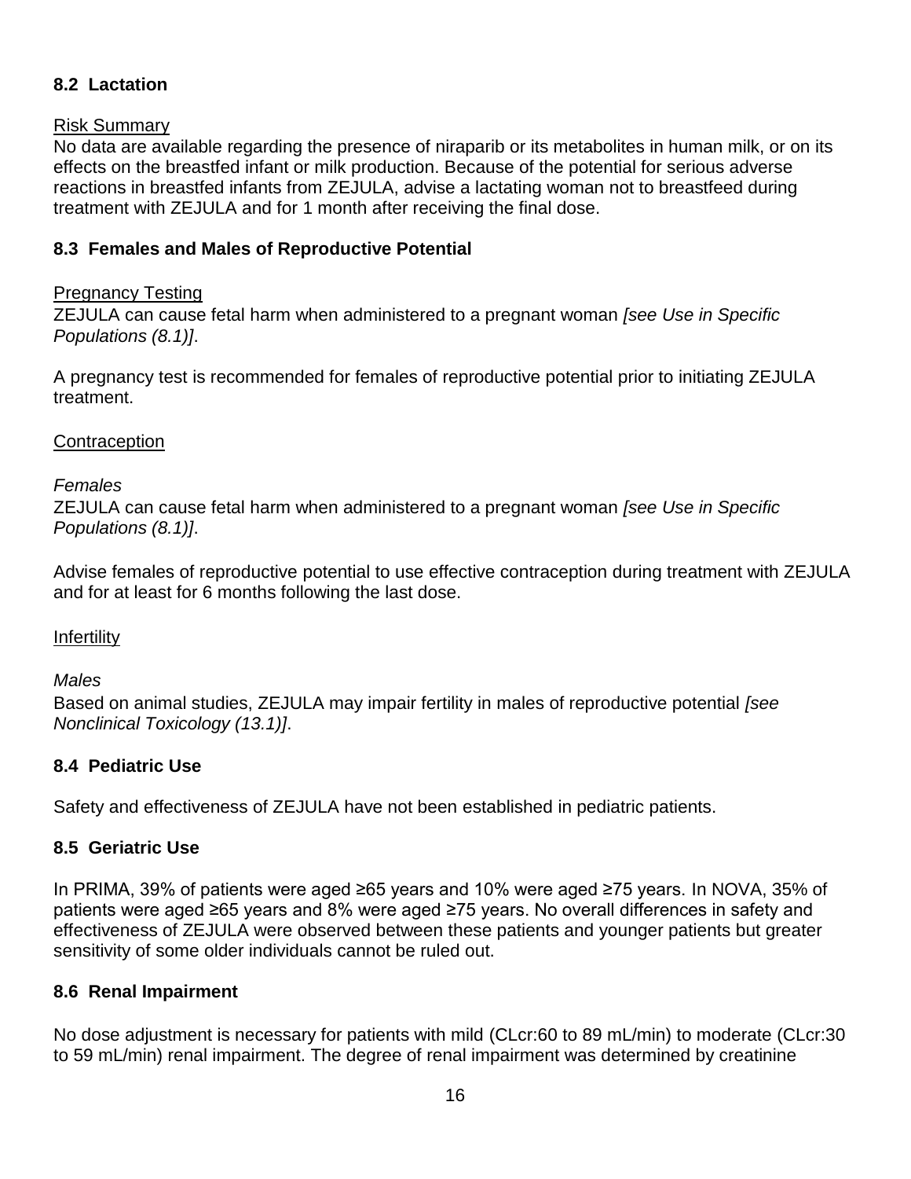### **8.2 Lactation**

#### Risk Summary

No data are available regarding the presence of niraparib or its metabolites in human milk, or on its effects on the breastfed infant or milk production. Because of the potential for serious adverse reactions in breastfed infants from ZEJULA, advise a lactating woman not to breastfeed during treatment with ZEJULA and for 1 month after receiving the final dose.

### **8.3 Females and Males of Reproductive Potential**

### Pregnancy Testing

ZEJULA can cause fetal harm when administered to a pregnant woman *[see Use in Specific Populations (8.1)]*.

A pregnancy test is recommended for females of reproductive potential prior to initiating ZEJULA treatment.

#### **Contraception**

#### *Females*

ZEJULA can cause fetal harm when administered to a pregnant woman *[see Use in Specific Populations (8.1)]*.

Advise females of reproductive potential to use effective contraception during treatment with ZEJULA and for at least for 6 months following the last dose.

### Infertility

### *Males*

Based on animal studies, ZEJULA may impair fertility in males of reproductive potential *[see Nonclinical Toxicology (13.1)]*.

### **8.4 Pediatric Use**

Safety and effectiveness of ZEJULA have not been established in pediatric patients.

### **8.5 Geriatric Use**

In PRIMA, 39% of patients were aged ≥65 years and 10% were aged ≥75 years. In NOVA, 35% of patients were aged ≥65 years and 8% were aged ≥75 years. No overall differences in safety and effectiveness of ZEJULA were observed between these patients and younger patients but greater sensitivity of some older individuals cannot be ruled out.

#### **8.6 Renal Impairment**

No dose adjustment is necessary for patients with mild (CLcr:60 to 89 mL/min) to moderate (CLcr:30 to 59 mL/min) renal impairment. The degree of renal impairment was determined by creatinine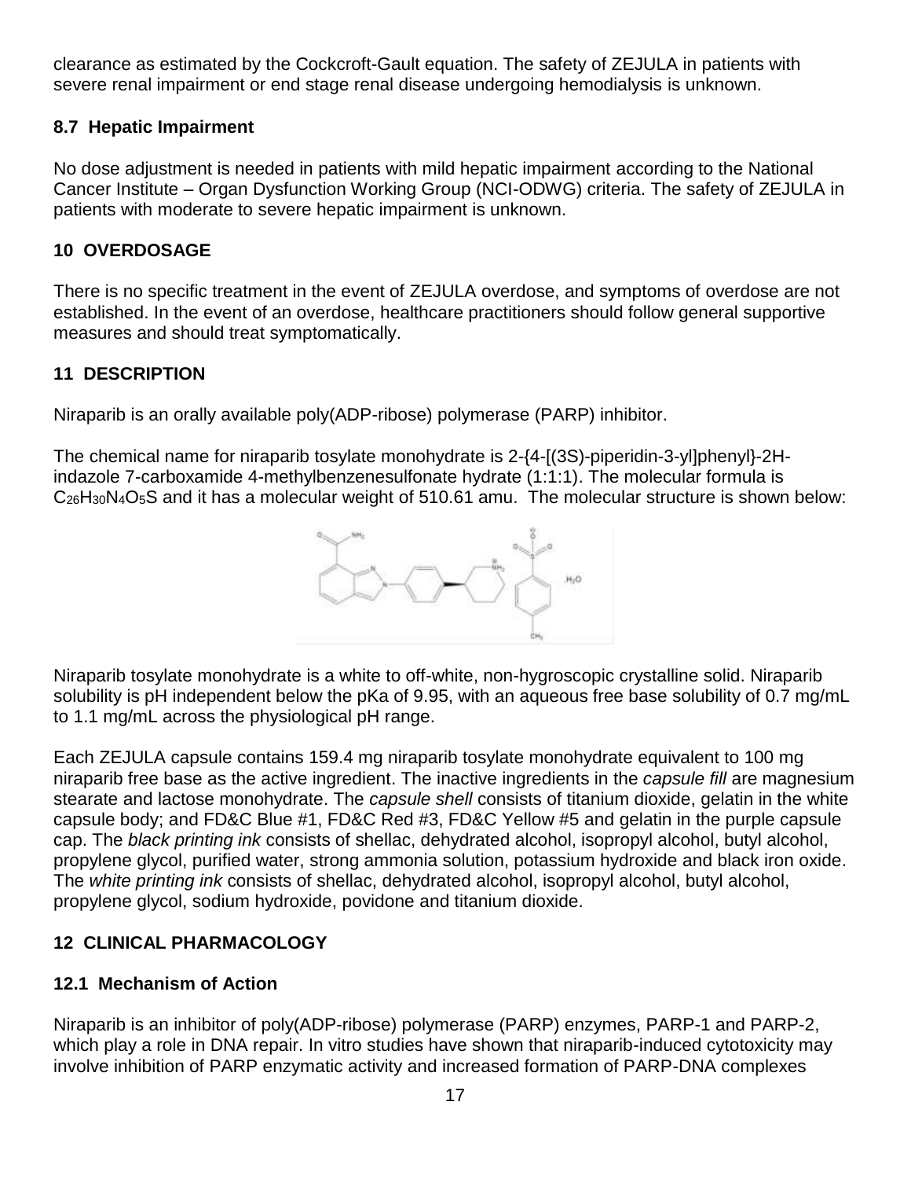clearance as estimated by the Cockcroft-Gault equation. The safety of ZEJULA in patients with severe renal impairment or end stage renal disease undergoing hemodialysis is unknown.

## **8.7 Hepatic Impairment**

No dose adjustment is needed in patients with mild hepatic impairment according to the National Cancer Institute – Organ Dysfunction Working Group (NCI-ODWG) criteria. The safety of ZEJULA in patients with moderate to severe hepatic impairment is unknown.

### **10 OVERDOSAGE**

There is no specific treatment in the event of ZEJULA overdose, and symptoms of overdose are not established. In the event of an overdose, healthcare practitioners should follow general supportive measures and should treat symptomatically.

## **11 DESCRIPTION**

Niraparib is an orally available poly(ADP-ribose) polymerase (PARP) inhibitor.

The chemical name for niraparib tosylate monohydrate is 2-{4-[(3S)-piperidin-3-yl]phenyl}-2Hindazole 7-carboxamide 4-methylbenzenesulfonate hydrate (1:1:1). The molecular formula is C<sub>26</sub>H<sub>30</sub>N<sub>4</sub>O<sub>5</sub>S and it has a molecular weight of 510.61 amu. The molecular structure is shown below:



Niraparib tosylate monohydrate is a white to off-white, non-hygroscopic crystalline solid. Niraparib solubility is pH independent below the pKa of 9.95, with an aqueous free base solubility of 0.7 mg/mL to 1.1 mg/mL across the physiological pH range.

Each ZEJULA capsule contains 159.4 mg niraparib tosylate monohydrate equivalent to 100 mg niraparib free base as the active ingredient. The inactive ingredients in the *capsule fill* are magnesium stearate and lactose monohydrate. The *capsule shell* consists of titanium dioxide, gelatin in the white capsule body; and FD&C Blue #1, FD&C Red #3, FD&C Yellow #5 and gelatin in the purple capsule cap. The *black printing ink* consists of shellac, dehydrated alcohol, isopropyl alcohol, butyl alcohol, propylene glycol, purified water, strong ammonia solution, potassium hydroxide and black iron oxide. The *white printing ink* consists of shellac, dehydrated alcohol, isopropyl alcohol, butyl alcohol, propylene glycol, sodium hydroxide, povidone and titanium dioxide.

## **12 CLINICAL PHARMACOLOGY**

## **12.1 Mechanism of Action**

Niraparib is an inhibitor of poly(ADP-ribose) polymerase (PARP) enzymes, PARP-1 and PARP-2, which play a role in DNA repair. In vitro studies have shown that niraparib-induced cytotoxicity may involve inhibition of PARP enzymatic activity and increased formation of PARP-DNA complexes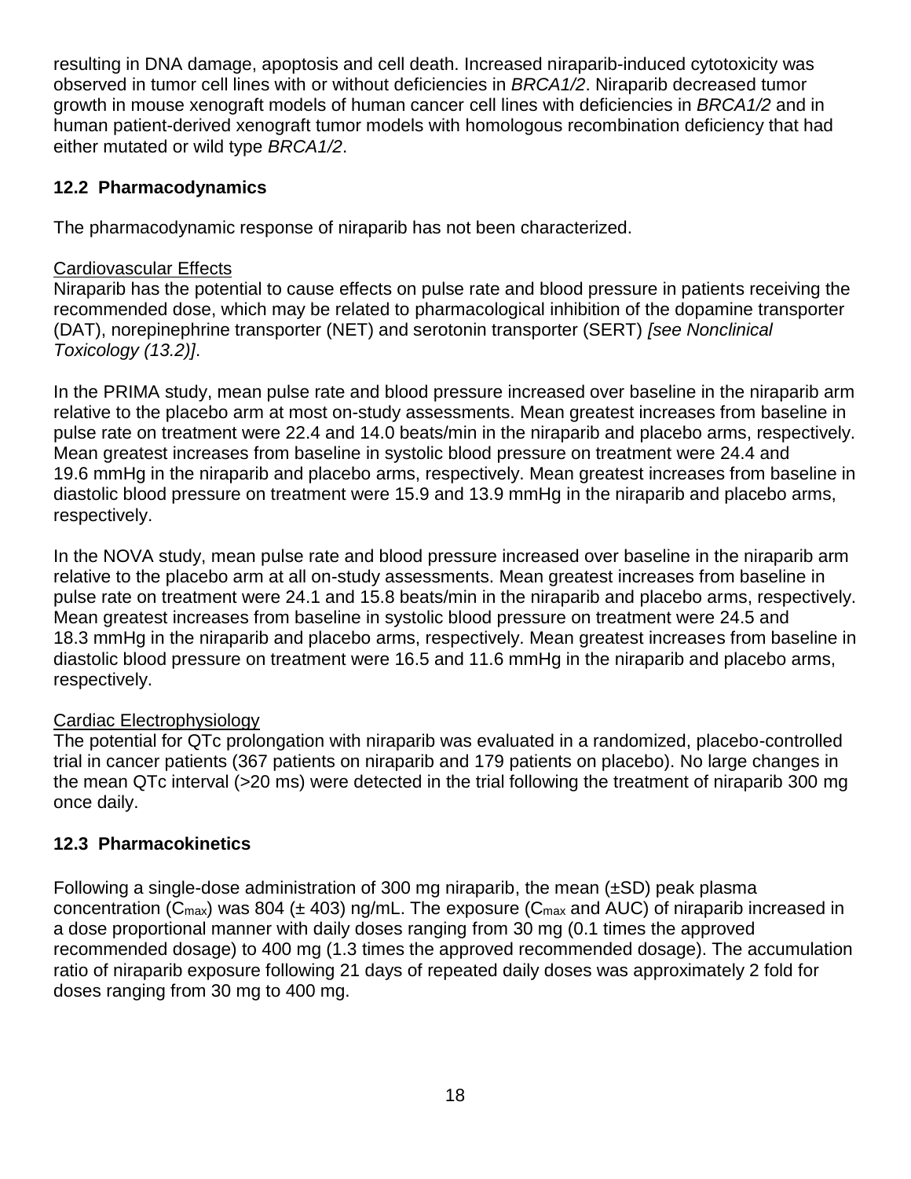resulting in DNA damage, apoptosis and cell death. Increased niraparib-induced cytotoxicity was observed in tumor cell lines with or without deficiencies in *BRCA1/2*. Niraparib decreased tumor growth in mouse xenograft models of human cancer cell lines with deficiencies in *BRCA1/2* and in human patient-derived xenograft tumor models with homologous recombination deficiency that had either mutated or wild type *BRCA1/2*.

### **12.2 Pharmacodynamics**

The pharmacodynamic response of niraparib has not been characterized.

#### Cardiovascular Effects

Niraparib has the potential to cause effects on pulse rate and blood pressure in patients receiving the recommended dose, which may be related to pharmacological inhibition of the dopamine transporter (DAT), norepinephrine transporter (NET) and serotonin transporter (SERT) *[see Nonclinical Toxicology (13.2)]*.

In the PRIMA study, mean pulse rate and blood pressure increased over baseline in the niraparib arm relative to the placebo arm at most on-study assessments. Mean greatest increases from baseline in pulse rate on treatment were 22.4 and 14.0 beats/min in the niraparib and placebo arms, respectively. Mean greatest increases from baseline in systolic blood pressure on treatment were 24.4 and 19.6 mmHg in the niraparib and placebo arms, respectively. Mean greatest increases from baseline in diastolic blood pressure on treatment were 15.9 and 13.9 mmHg in the niraparib and placebo arms, respectively.

In the NOVA study, mean pulse rate and blood pressure increased over baseline in the niraparib arm relative to the placebo arm at all on-study assessments. Mean greatest increases from baseline in pulse rate on treatment were 24.1 and 15.8 beats/min in the niraparib and placebo arms, respectively. Mean greatest increases from baseline in systolic blood pressure on treatment were 24.5 and 18.3 mmHg in the niraparib and placebo arms, respectively. Mean greatest increases from baseline in diastolic blood pressure on treatment were 16.5 and 11.6 mmHg in the niraparib and placebo arms, respectively.

#### Cardiac Electrophysiology

The potential for QTc prolongation with niraparib was evaluated in a randomized, placebo-controlled trial in cancer patients (367 patients on niraparib and 179 patients on placebo). No large changes in the mean QTc interval (>20 ms) were detected in the trial following the treatment of niraparib 300 mg once daily.

### **12.3 Pharmacokinetics**

Following a single-dose administration of 300 mg niraparib, the mean (±SD) peak plasma concentration ( $C_{\text{max}}$ ) was 804 ( $\pm$  403) ng/mL. The exposure ( $C_{\text{max}}$  and AUC) of niraparib increased in a dose proportional manner with daily doses ranging from 30 mg (0.1 times the approved recommended dosage) to 400 mg (1.3 times the approved recommended dosage). The accumulation ratio of niraparib exposure following 21 days of repeated daily doses was approximately 2 fold for doses ranging from 30 mg to 400 mg.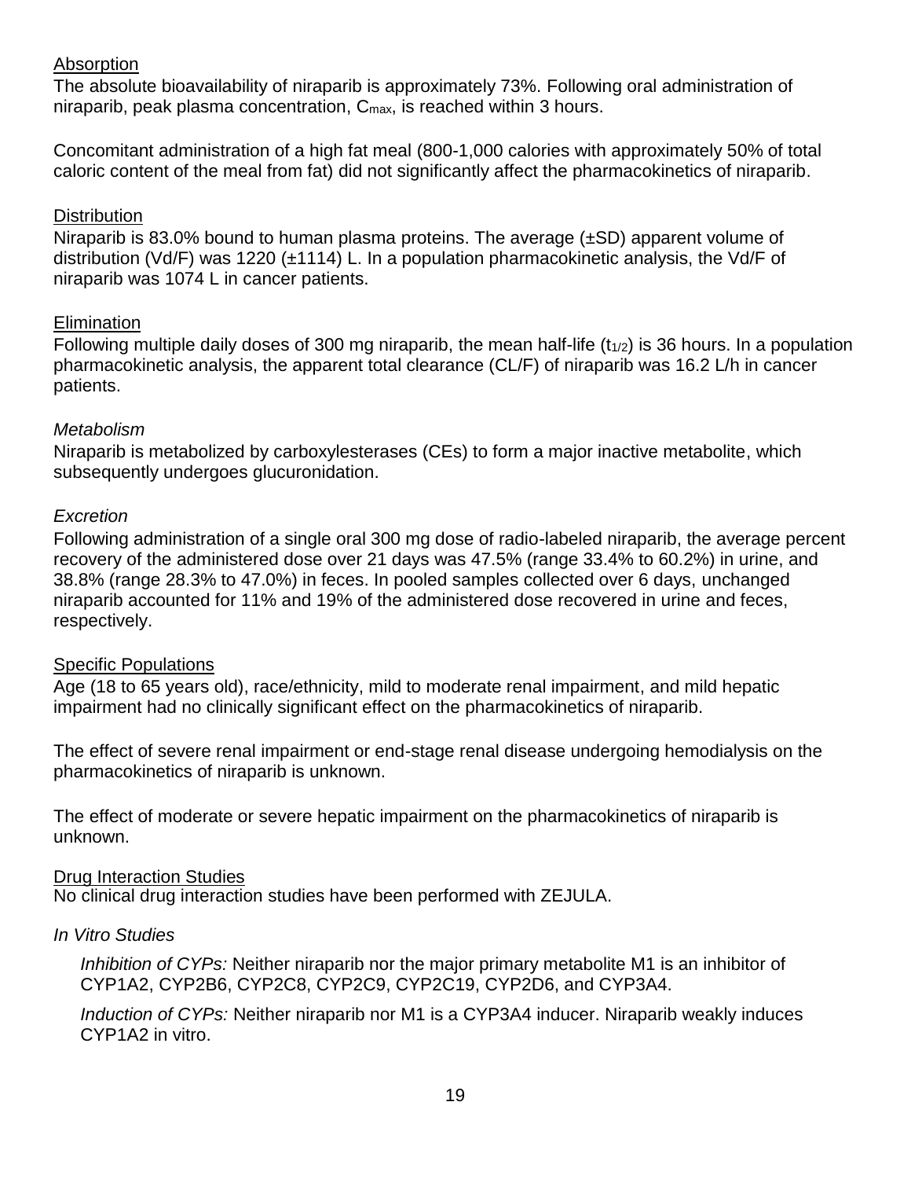#### Absorption

The absolute bioavailability of niraparib is approximately 73%. Following oral administration of niraparib, peak plasma concentration,  $C_{\text{max}}$ , is reached within 3 hours.

Concomitant administration of a high fat meal (800-1,000 calories with approximately 50% of total caloric content of the meal from fat) did not significantly affect the pharmacokinetics of niraparib.

#### **Distribution**

Niraparib is 83.0% bound to human plasma proteins. The average (±SD) apparent volume of distribution (Vd/F) was 1220 (±1114) L. In a population pharmacokinetic analysis, the Vd/F of niraparib was 1074 L in cancer patients.

#### Elimination

Following multiple daily doses of 300 mg niraparib, the mean half-life  $(t_{1/2})$  is 36 hours. In a population pharmacokinetic analysis, the apparent total clearance (CL/F) of niraparib was 16.2 L/h in cancer patients.

#### *Metabolism*

Niraparib is metabolized by carboxylesterases (CEs) to form a major inactive metabolite, which subsequently undergoes glucuronidation.

#### *Excretion*

Following administration of a single oral 300 mg dose of radio-labeled niraparib, the average percent recovery of the administered dose over 21 days was 47.5% (range 33.4% to 60.2%) in urine, and 38.8% (range 28.3% to 47.0%) in feces. In pooled samples collected over 6 days, unchanged niraparib accounted for 11% and 19% of the administered dose recovered in urine and feces, respectively.

#### Specific Populations

Age (18 to 65 years old), race/ethnicity, mild to moderate renal impairment, and mild hepatic impairment had no clinically significant effect on the pharmacokinetics of niraparib.

The effect of severe renal impairment or end-stage renal disease undergoing hemodialysis on the pharmacokinetics of niraparib is unknown.

The effect of moderate or severe hepatic impairment on the pharmacokinetics of niraparib is unknown.

#### Drug Interaction Studies

No clinical drug interaction studies have been performed with ZEJULA.

#### *In Vitro Studies*

*Inhibition of CYPs:* Neither niraparib nor the major primary metabolite M1 is an inhibitor of CYP1A2, CYP2B6, CYP2C8, CYP2C9, CYP2C19, CYP2D6, and CYP3A4.

*Induction of CYPs:* Neither niraparib nor M1 is a CYP3A4 inducer. Niraparib weakly induces CYP1A2 in vitro.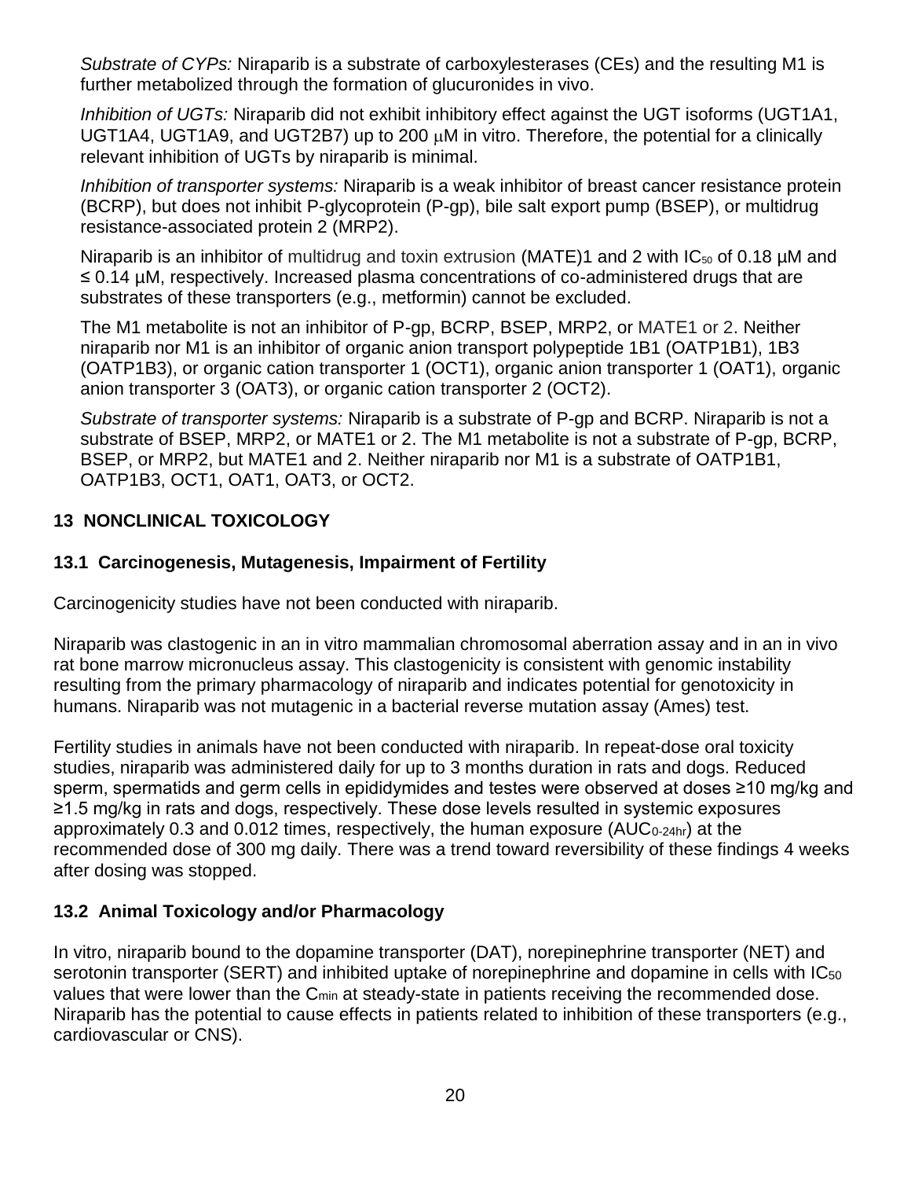*Substrate of CYPs:* Niraparib is a substrate of carboxylesterases (CEs) and the resulting M1 is further metabolized through the formation of glucuronides in vivo.

*Inhibition of UGTs:* Niraparib did not exhibit inhibitory effect against the UGT isoforms (UGT1A1, UGT1A4, UGT1A9, and UGT2B7) up to 200  $\mu$ M in vitro. Therefore, the potential for a clinically relevant inhibition of UGTs by niraparib is minimal.

*Inhibition of transporter systems:* Niraparib is a weak inhibitor of breast cancer resistance protein (BCRP), but does not inhibit P-glycoprotein (P-gp), bile salt export pump (BSEP), or multidrug resistance-associated protein 2 (MRP2).

Niraparib is an inhibitor of multidrug and toxin extrusion (MATE)1 and 2 with  $IC_{50}$  of 0.18 µM and ≤ 0.14 µM, respectively. Increased plasma concentrations of co-administered drugs that are substrates of these transporters (e.g., metformin) cannot be excluded.

The M1 metabolite is not an inhibitor of P-gp, BCRP, BSEP, MRP2, or MATE1 or 2. Neither niraparib nor M1 is an inhibitor of organic anion transport polypeptide 1B1 (OATP1B1), 1B3 (OATP1B3), or organic cation transporter 1 (OCT1), organic anion transporter 1 (OAT1), organic anion transporter 3 (OAT3), or organic cation transporter 2 (OCT2).

*Substrate of transporter systems:* Niraparib is a substrate of P-gp and BCRP. Niraparib is not a substrate of BSEP, MRP2, or MATE1 or 2. The M1 metabolite is not a substrate of P-gp, BCRP, BSEP, or MRP2, but MATE1 and 2. Neither niraparib nor M1 is a substrate of OATP1B1, OATP1B3, OCT1, OAT1, OAT3, or OCT2.

### **13 NONCLINICAL TOXICOLOGY**

## **13.1 Carcinogenesis, Mutagenesis, Impairment of Fertility**

Carcinogenicity studies have not been conducted with niraparib.

Niraparib was clastogenic in an in vitro mammalian chromosomal aberration assay and in an in vivo rat bone marrow micronucleus assay. This clastogenicity is consistent with genomic instability resulting from the primary pharmacology of niraparib and indicates potential for genotoxicity in humans. Niraparib was not mutagenic in a bacterial reverse mutation assay (Ames) test.

Fertility studies in animals have not been conducted with niraparib. In repeat-dose oral toxicity studies, niraparib was administered daily for up to 3 months duration in rats and dogs. Reduced sperm, spermatids and germ cells in epididymides and testes were observed at doses ≥10 mg/kg and ≥1.5 mg/kg in rats and dogs, respectively. These dose levels resulted in systemic exposures approximately 0.3 and 0.012 times, respectively, the human exposure ( $AUC_{0-24hr}$ ) at the recommended dose of 300 mg daily. There was a trend toward reversibility of these findings 4 weeks after dosing was stopped.

## **13.2 Animal Toxicology and/or Pharmacology**

In vitro, niraparib bound to the dopamine transporter (DAT), norepinephrine transporter (NET) and serotonin transporter (SERT) and inhibited uptake of norepinephrine and dopamine in cells with IC<sub>50</sub> values that were lower than the C<sub>min</sub> at steady-state in patients receiving the recommended dose. Niraparib has the potential to cause effects in patients related to inhibition of these transporters (e.g., cardiovascular or CNS).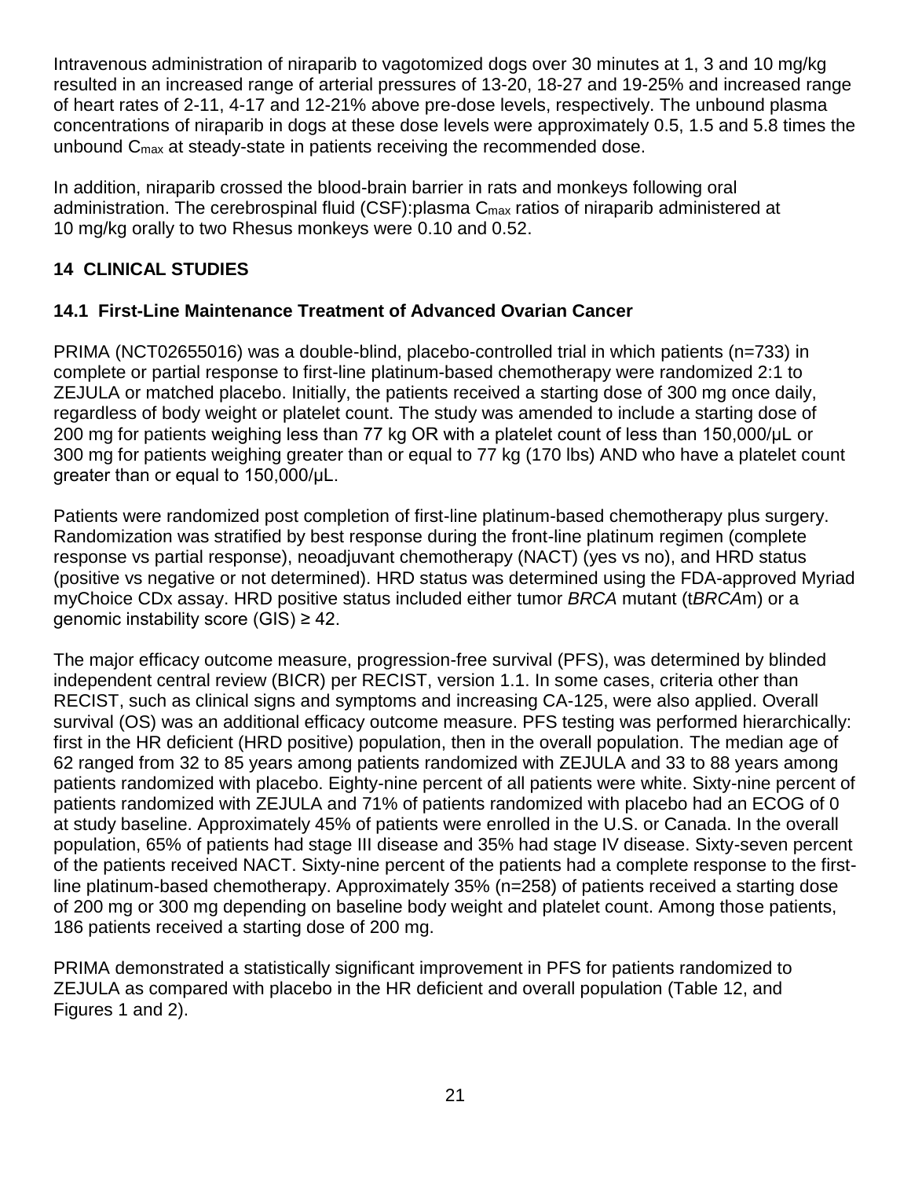Intravenous administration of niraparib to vagotomized dogs over 30 minutes at 1, 3 and 10 mg/kg resulted in an increased range of arterial pressures of 13-20, 18-27 and 19-25% and increased range of heart rates of 2-11, 4-17 and 12-21% above pre-dose levels, respectively. The unbound plasma concentrations of niraparib in dogs at these dose levels were approximately 0.5, 1.5 and 5.8 times the unbound Cmax at steady-state in patients receiving the recommended dose.

In addition, niraparib crossed the blood-brain barrier in rats and monkeys following oral administration. The cerebrospinal fluid (CSF): plasma C<sub>max</sub> ratios of niraparib administered at 10 mg/kg orally to two Rhesus monkeys were 0.10 and 0.52.

## **14 CLINICAL STUDIES**

## **14.1 First-Line Maintenance Treatment of Advanced Ovarian Cancer**

PRIMA (NCT02655016) was a double-blind, placebo-controlled trial in which patients (n=733) in complete or partial response to first-line platinum-based chemotherapy were randomized 2:1 to ZEJULA or matched placebo. Initially, the patients received a starting dose of 300 mg once daily, regardless of body weight or platelet count. The study was amended to include a starting dose of 200 mg for patients weighing less than 77 kg OR with a platelet count of less than 150,000/μL or 300 mg for patients weighing greater than or equal to 77 kg (170 lbs) AND who have a platelet count greater than or equal to 150,000/μL.

Patients were randomized post completion of first-line platinum-based chemotherapy plus surgery. Randomization was stratified by best response during the front-line platinum regimen (complete response vs partial response), neoadjuvant chemotherapy (NACT) (yes vs no), and HRD status (positive vs negative or not determined). HRD status was determined using the FDA-approved Myriad myChoice CDx assay. HRD positive status included either tumor *BRCA* mutant (t*BRCA*m) or a genomic instability score (GIS)  $\geq$  42.

The major efficacy outcome measure, progression-free survival (PFS), was determined by blinded independent central review (BICR) per RECIST, version 1.1. In some cases, criteria other than RECIST, such as clinical signs and symptoms and increasing CA-125, were also applied. Overall survival (OS) was an additional efficacy outcome measure. PFS testing was performed hierarchically: first in the HR deficient (HRD positive) population, then in the overall population. The median age of 62 ranged from 32 to 85 years among patients randomized with ZEJULA and 33 to 88 years among patients randomized with placebo. Eighty-nine percent of all patients were white. Sixty-nine percent of patients randomized with ZEJULA and 71% of patients randomized with placebo had an ECOG of 0 at study baseline. Approximately 45% of patients were enrolled in the U.S. or Canada. In the overall population, 65% of patients had stage III disease and 35% had stage IV disease. Sixty-seven percent of the patients received NACT. Sixty-nine percent of the patients had a complete response to the firstline platinum-based chemotherapy. Approximately 35% (n=258) of patients received a starting dose of 200 mg or 300 mg depending on baseline body weight and platelet count. Among those patients, 186 patients received a starting dose of 200 mg.

PRIMA demonstrated a statistically significant improvement in PFS for patients randomized to ZEJULA as compared with placebo in the HR deficient and overall population (Table 12, and Figures 1 and 2).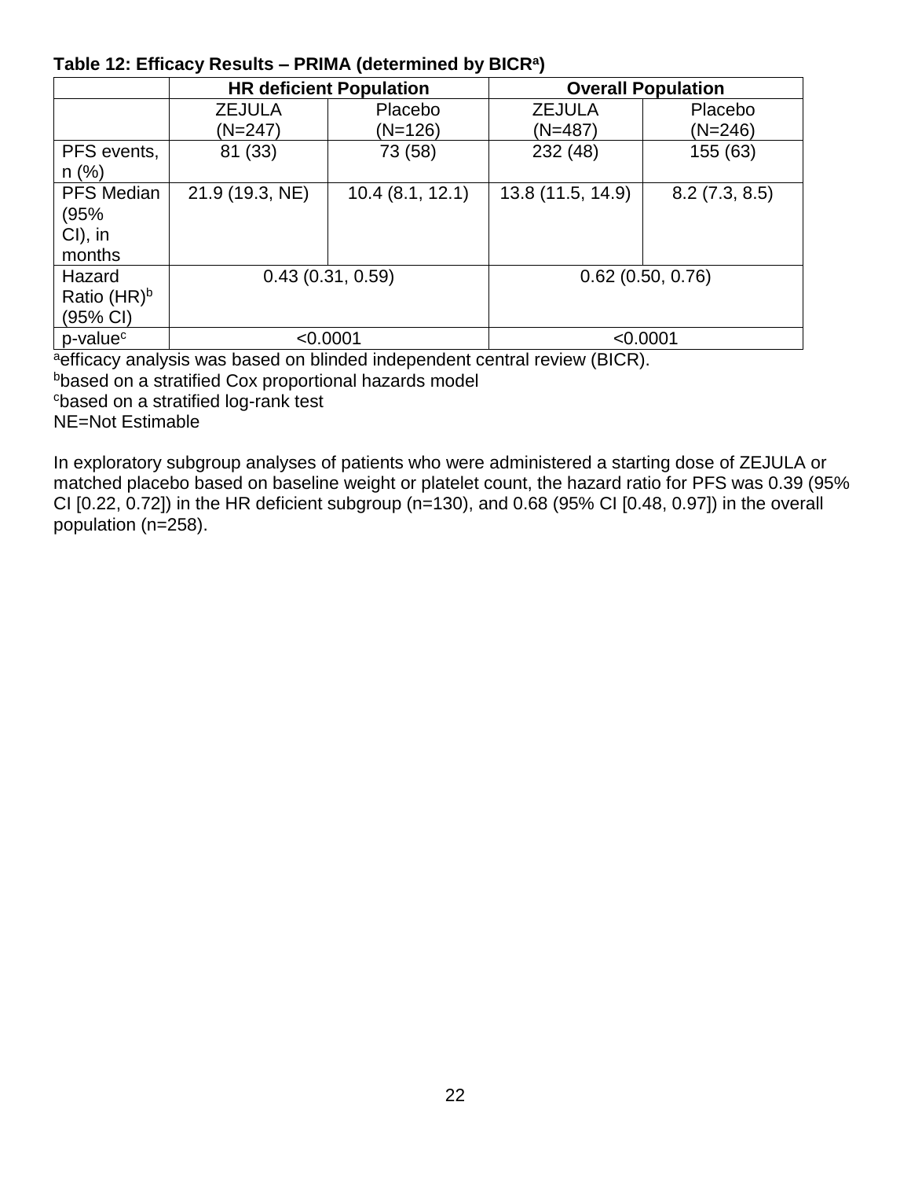#### **Table 12: Efficacy Results – PRIMA (determined by BICR<sup>a</sup> )**

|                      |                  | <b>HR deficient Population</b> | <b>Overall Population</b> |               |  |
|----------------------|------------------|--------------------------------|---------------------------|---------------|--|
|                      | <b>ZEJULA</b>    | Placebo                        | <b>ZEJULA</b>             | Placebo       |  |
|                      | $(N=247)$        | $(N=126)$                      | $(N=487)$                 | $(N=246)$     |  |
| PFS events,          | 81 (33)          | 73 (58)                        | 232 (48)                  | 155 (63)      |  |
| $n$ (%)              |                  |                                |                           |               |  |
| <b>PFS Median</b>    | 21.9 (19.3, NE)  | 10.4(8.1, 12.1)                | 13.8 (11.5, 14.9)         | 8.2(7.3, 8.5) |  |
| (95%                 |                  |                                |                           |               |  |
| $Cl$ ), in           |                  |                                |                           |               |  |
| months               |                  |                                |                           |               |  |
| Hazard               | 0.43(0.31, 0.59) |                                | $0.62$ (0.50, 0.76)       |               |  |
| Ratio $(HR)^b$       |                  |                                |                           |               |  |
| (95% CI)             |                  |                                |                           |               |  |
| p-value <sup>c</sup> | < 0.0001         |                                | < 0.0001                  |               |  |

aefficacy analysis was based on blinded independent central review (BICR).

bbased on a stratified Cox proportional hazards model

<sup>c</sup>based on a stratified log-rank test

NE=Not Estimable

In exploratory subgroup analyses of patients who were administered a starting dose of ZEJULA or matched placebo based on baseline weight or platelet count, the hazard ratio for PFS was 0.39 (95% CI [0.22, 0.72]) in the HR deficient subgroup (n=130), and 0.68 (95% CI [0.48, 0.97]) in the overall population (n=258).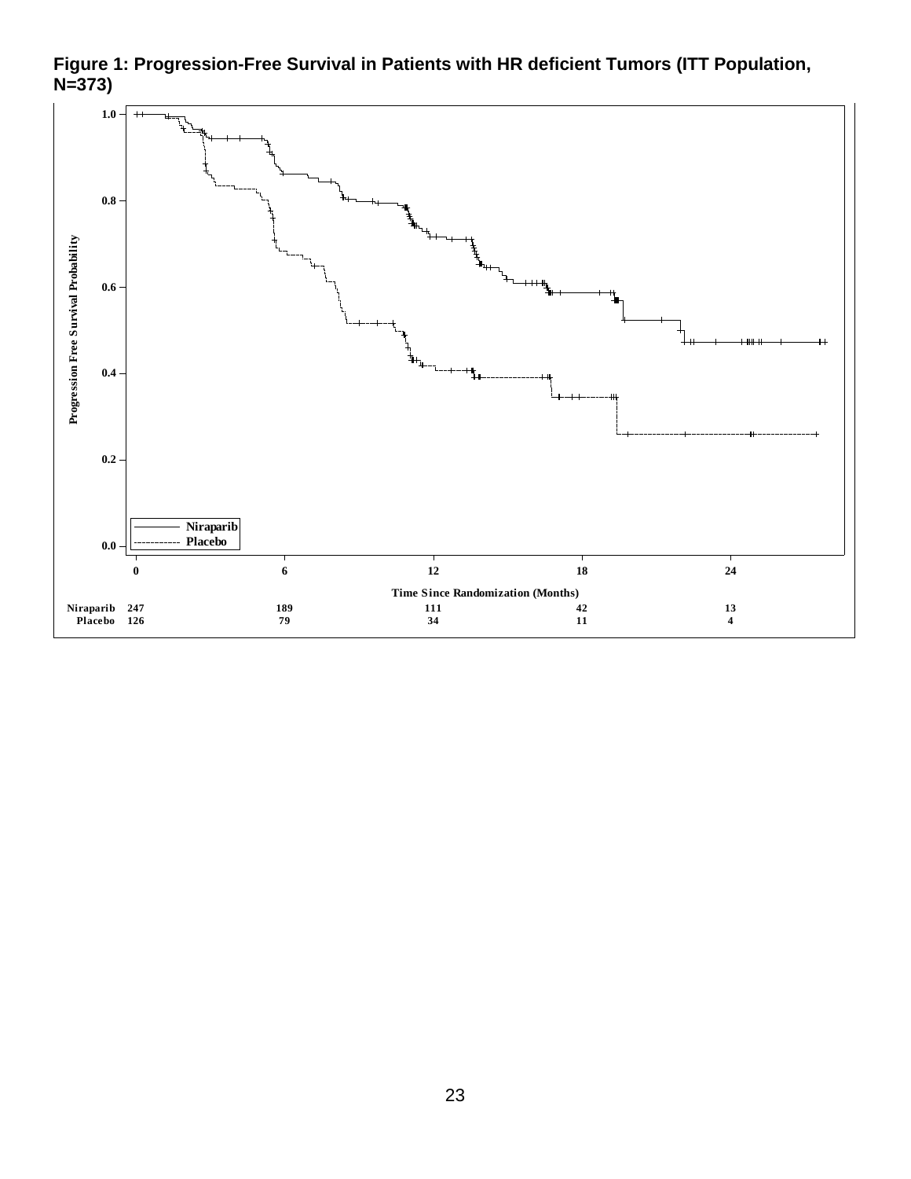

**Figure 1: Progression-Free Survival in Patients with HR deficient Tumors (ITT Population, Figure 1 PHS In PHS In PRS PRS PRS PRS PRS PRS PRS PRS PRS PRS PRS PRS PRS PRS PRS PRS PRS PRS PRS PRS PRS PRS PRS PRS PRS PRS PRS PRS PRS PRS PRS PRS PRS P**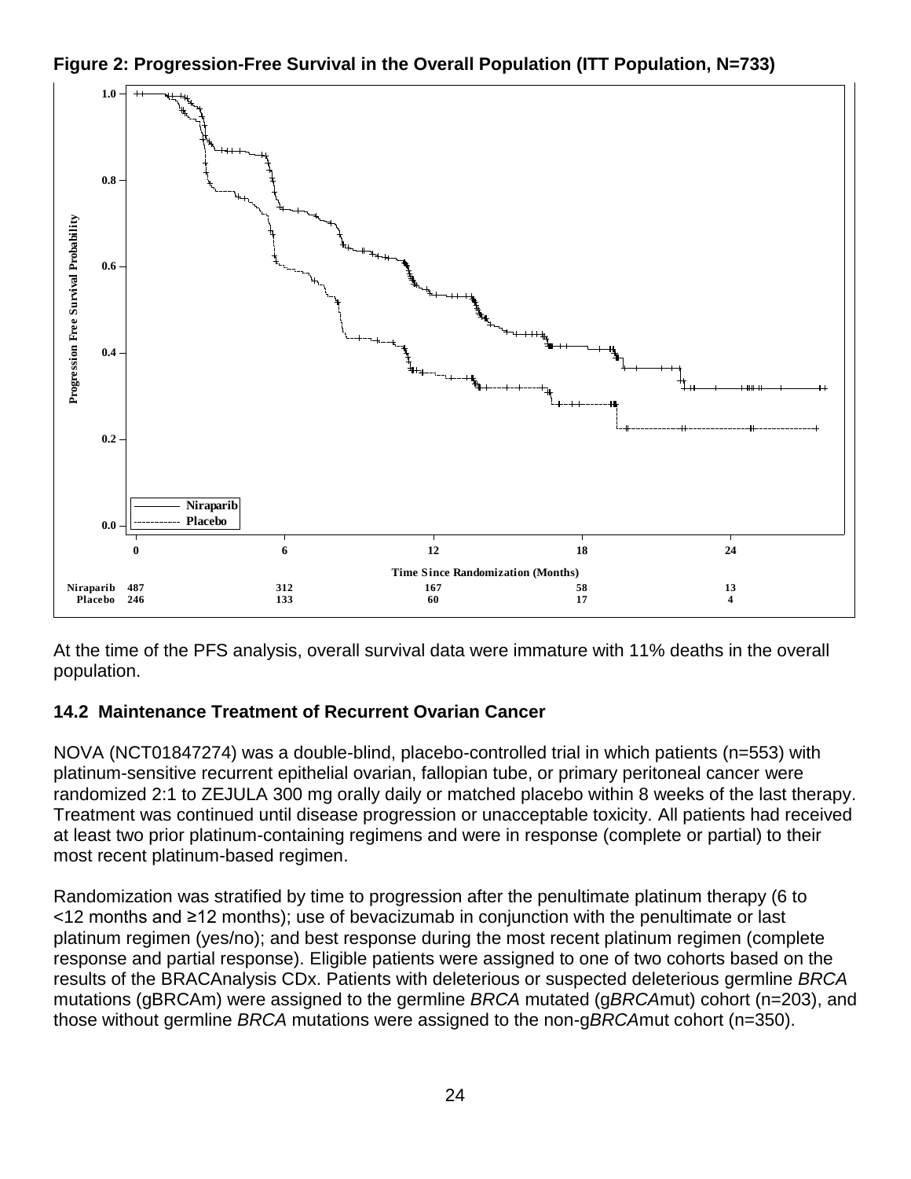

**Figure 2: Progression-Free Survival in the Overall Population (ITT Population, N=733) Figure 3**

At the time of the PFS analysis, overall survival data were immature with 11% deaths in the overall population.

## **14.2 Maintenance Treatment of Recurrent Ovarian Cancer**

NOVA (NCT01847274) was a double-blind, placebo-controlled trial in which patients (n=553) with platinum-sensitive recurrent epithelial ovarian, fallopian tube, or primary peritoneal cancer were randomized 2:1 to ZEJULA 300 mg orally daily or matched placebo within 8 weeks of the last therapy. Treatment was continued until disease progression or unacceptable toxicity. All patients had received at least two prior platinum-containing regimens and were in response (complete or partial) to their most recent platinum-based regimen.

Randomization was stratified by time to progression after the penultimate platinum therapy (6 to <12 months and ≥12 months); use of bevacizumab in conjunction with the penultimate or last platinum regimen (yes/no); and best response during the most recent platinum regimen (complete response and partial response). Eligible patients were assigned to one of two cohorts based on the results of the BRACAnalysis CDx. Patients with deleterious or suspected deleterious germline *BRCA* mutations (gBRCAm) were assigned to the germline *BRCA* mutated (g*BRCA*mut) cohort (n=203), and those without germline *BRCA* mutations were assigned to the non-g*BRCA*mut cohort (n=350).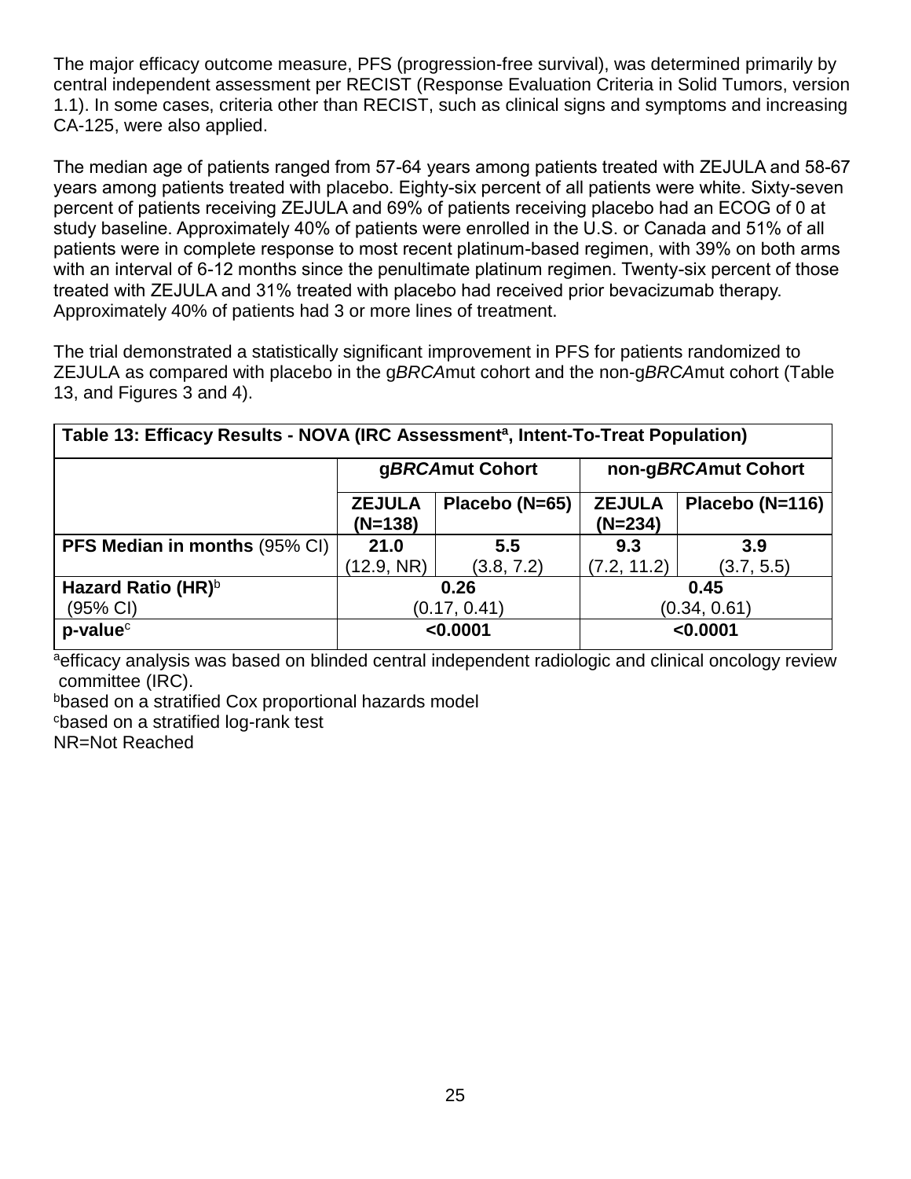The major efficacy outcome measure, PFS (progression-free survival), was determined primarily by central independent assessment per RECIST (Response Evaluation Criteria in Solid Tumors, version 1.1). In some cases, criteria other than RECIST, such as clinical signs and symptoms and increasing CA-125, were also applied.

The median age of patients ranged from 57-64 years among patients treated with ZEJULA and 58-67 years among patients treated with placebo. Eighty-six percent of all patients were white. Sixty-seven percent of patients receiving ZEJULA and 69% of patients receiving placebo had an ECOG of 0 at study baseline. Approximately 40% of patients were enrolled in the U.S. or Canada and 51% of all patients were in complete response to most recent platinum-based regimen, with 39% on both arms with an interval of 6-12 months since the penultimate platinum regimen. Twenty-six percent of those treated with ZEJULA and 31% treated with placebo had received prior bevacizumab therapy. Approximately 40% of patients had 3 or more lines of treatment.

The trial demonstrated a statistically significant improvement in PFS for patients randomized to ZEJULA as compared with placebo in the g*BRCA*mut cohort and the non-g*BRCA*mut cohort (Table 13, and Figures 3 and 4).

| Table 13: Efficacy Results - NOVA (IRC Assessment <sup>a</sup> , Intent-To-Treat Population) |                            |                |                            |                 |
|----------------------------------------------------------------------------------------------|----------------------------|----------------|----------------------------|-----------------|
|                                                                                              | gBRCAmut Cohort            |                | non-gBRCAmut Cohort        |                 |
|                                                                                              | <b>ZEJULA</b><br>$(N=138)$ | Placebo (N=65) | <b>ZEJULA</b><br>$(N=234)$ | Placebo (N=116) |
| <b>PFS Median in months (95% CI)</b>                                                         | 21.0                       | 5.5            | 9.3                        | 3.9             |
|                                                                                              | (12.9, NR)                 | (3.8, 7.2)     | (7.2, 11.2)                | (3.7, 5.5)      |
| Hazard Ratio (HR) <sup>b</sup>                                                               | 0.26                       |                | 0.45                       |                 |
| (95% CI)                                                                                     | (0.17, 0.41)               |                |                            | (0.34, 0.61)    |
| $p$ -value $c$                                                                               | < 0.0001                   |                |                            | < 0.0001        |

aefficacy analysis was based on blinded central independent radiologic and clinical oncology review committee (IRC).

bbased on a stratified Cox proportional hazards model <sup>c</sup>based on a stratified log-rank test

NR=Not Reached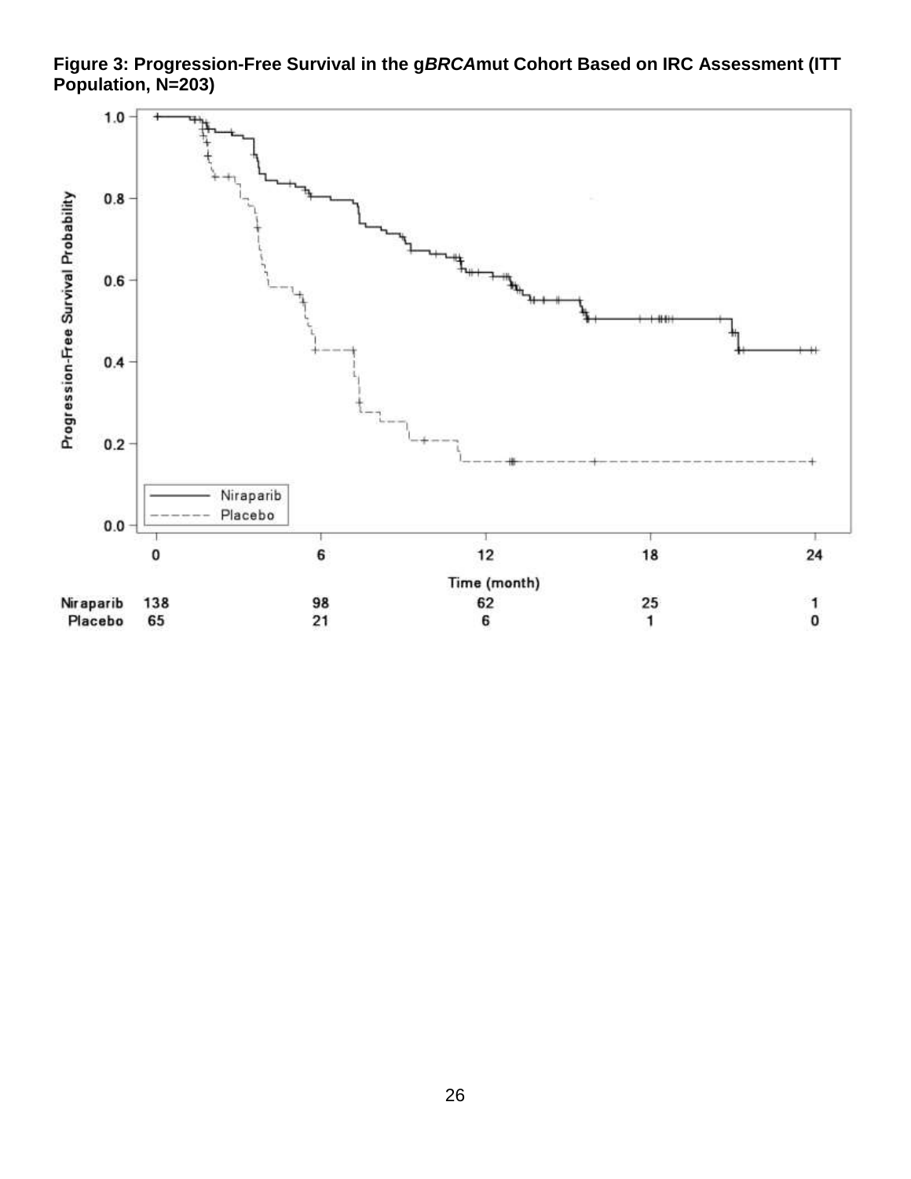**Figure 3: Progression-Free Survival in the g***BRCA***mut Cohort Based on IRC Assessment (ITT Population, N=203)**

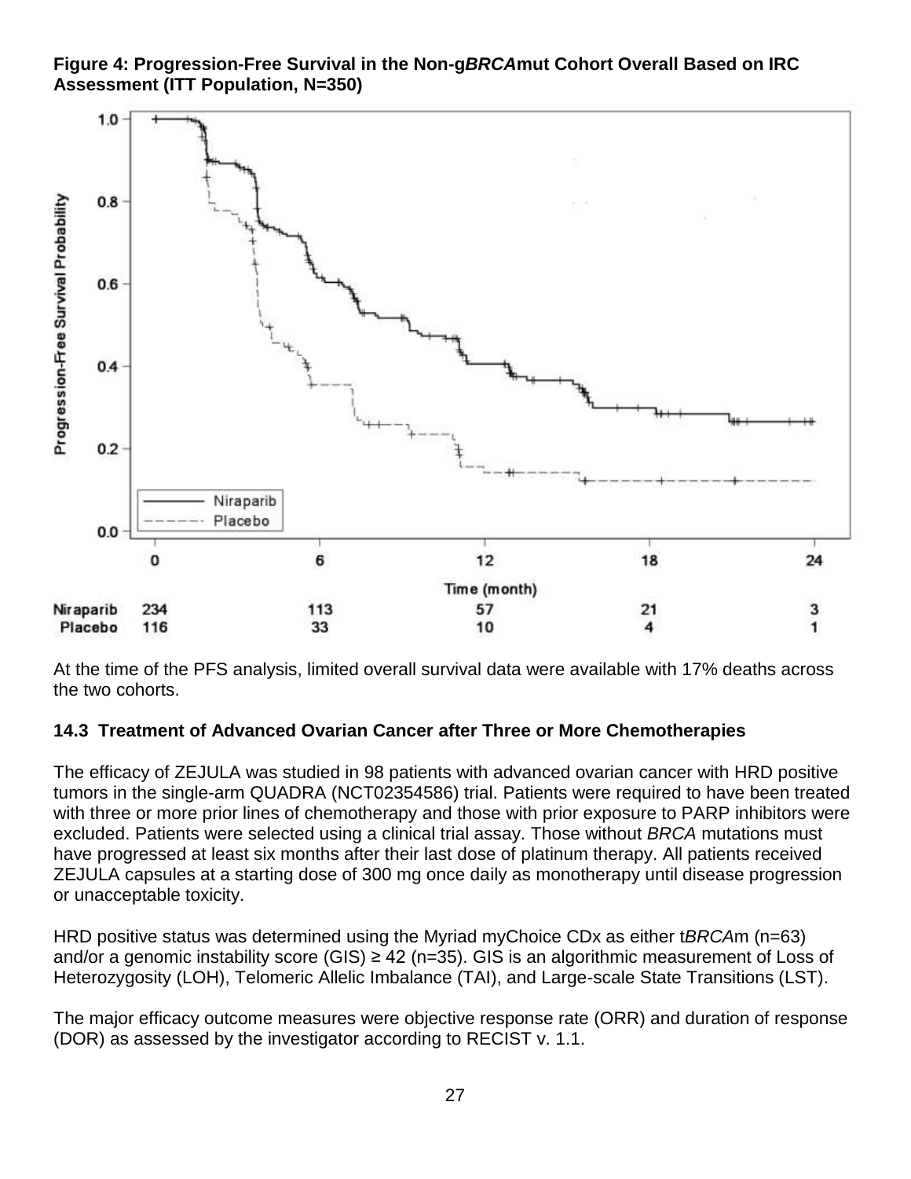**Figure 4: Progression-Free Survival in the Non-g***BRCA***mut Cohort Overall Based on IRC Assessment (ITT Population, N=350)**



At the time of the PFS analysis, limited overall survival data were available with 17% deaths across the two cohorts.

### **14.3 Treatment of Advanced Ovarian Cancer after Three or More Chemotherapies**

The efficacy of ZEJULA was studied in 98 patients with advanced ovarian cancer with HRD positive tumors in the single-arm QUADRA (NCT02354586) trial. Patients were required to have been treated with three or more prior lines of chemotherapy and those with prior exposure to PARP inhibitors were excluded. Patients were selected using a clinical trial assay. Those without *BRCA* mutations must have progressed at least six months after their last dose of platinum therapy. All patients received ZEJULA capsules at a starting dose of 300 mg once daily as monotherapy until disease progression or unacceptable toxicity.

HRD positive status was determined using the Myriad myChoice CDx as either t*BRCA*m (n=63) and/or a genomic instability score (GIS)  $\geq$  42 (n=35). GIS is an algorithmic measurement of Loss of Heterozygosity (LOH), Telomeric Allelic Imbalance (TAI), and Large-scale State Transitions (LST).

The major efficacy outcome measures were objective response rate (ORR) and duration of response (DOR) as assessed by the investigator according to RECIST v. 1.1.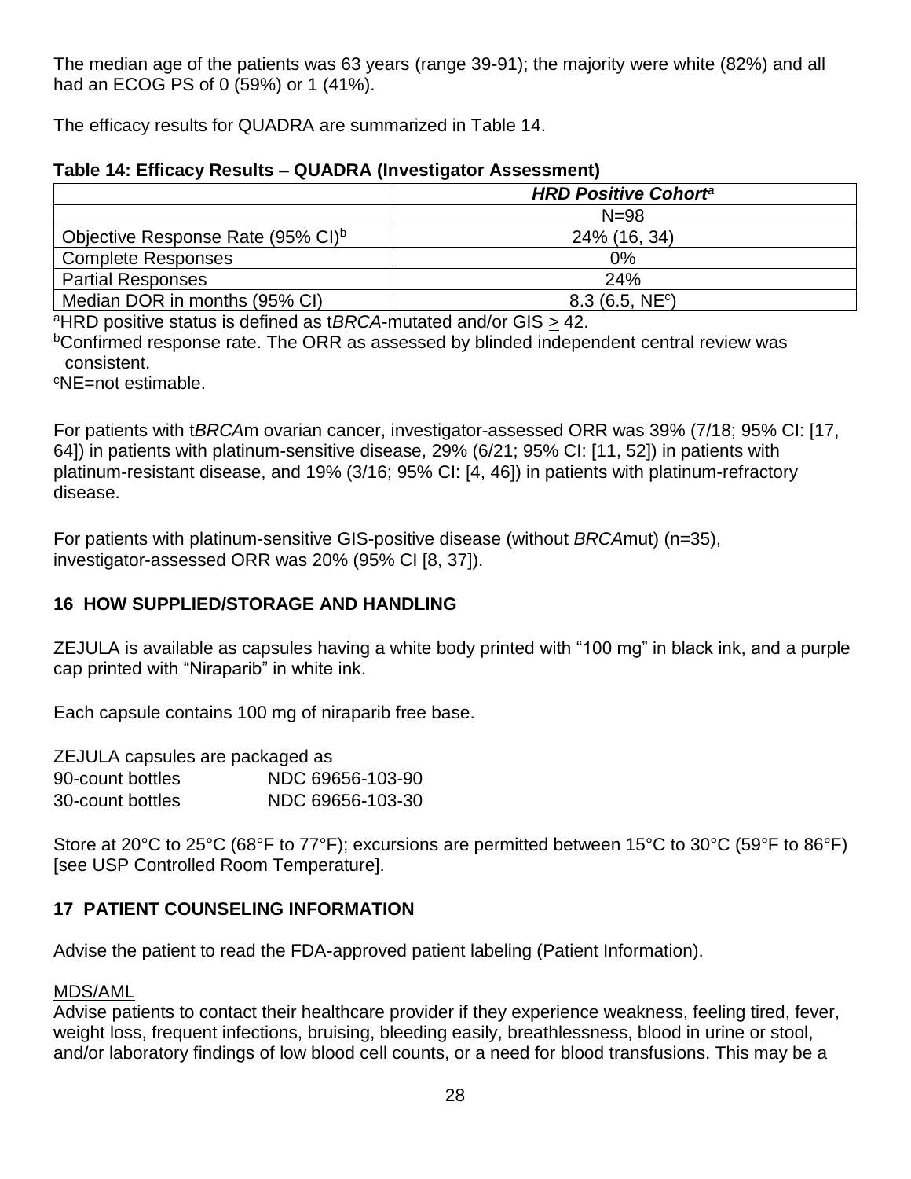The median age of the patients was 63 years (range 39-91); the majority were white (82%) and all had an ECOG PS of 0 (59%) or 1 (41%).

The efficacy results for QUADRA are summarized in Table 14.

#### **Table 14: Efficacy Results – QUADRA (Investigator Assessment)**

|                                               | <b>HRD Positive Cohorta</b> |
|-----------------------------------------------|-----------------------------|
|                                               | $N = 98$                    |
| Objective Response Rate (95% CI) <sup>b</sup> | 24% (16, 34)                |
| <b>Complete Responses</b>                     | 0%                          |
| <b>Partial Responses</b>                      | 24%                         |
| Median DOR in months (95% CI)                 | 8.3(6.5, NE <sup>c</sup> )  |

<sup>a</sup>HRD positive status is defined as t*BRCA*-mutated and/or GIS  $\geq$  42.

<sup>b</sup>Confirmed response rate. The ORR as assessed by blinded independent central review was consistent.

<sup>c</sup>NE=not estimable.

For patients with t*BRCA*m ovarian cancer, investigator-assessed ORR was 39% (7/18; 95% CI: [17, 64]) in patients with platinum-sensitive disease, 29% (6/21; 95% CI: [11, 52]) in patients with platinum-resistant disease, and 19% (3/16; 95% CI: [4, 46]) in patients with platinum-refractory disease.

For patients with platinum-sensitive GIS-positive disease (without *BRCA*mut) (n=35), investigator-assessed ORR was 20% (95% CI [8, 37]).

### **16 HOW SUPPLIED/STORAGE AND HANDLING**

ZEJULA is available as capsules having a white body printed with "100 mg" in black ink, and a purple cap printed with "Niraparib" in white ink.

Each capsule contains 100 mg of niraparib free base.

| ZEJULA capsules are packaged as |                  |  |  |  |
|---------------------------------|------------------|--|--|--|
| 90-count bottles                | NDC 69656-103-90 |  |  |  |
| 30-count bottles                | NDC 69656-103-30 |  |  |  |

Store at 20°C to 25°C (68°F to 77°F); excursions are permitted between 15°C to 30°C (59°F to 86°F) [see USP Controlled Room Temperature].

### **17 PATIENT COUNSELING INFORMATION**

Advise the patient to read the FDA-approved patient labeling (Patient Information).

#### MDS/AML

Advise patients to contact their healthcare provider if they experience weakness, feeling tired, fever, weight loss, frequent infections, bruising, bleeding easily, breathlessness, blood in urine or stool, and/or laboratory findings of low blood cell counts, or a need for blood transfusions. This may be a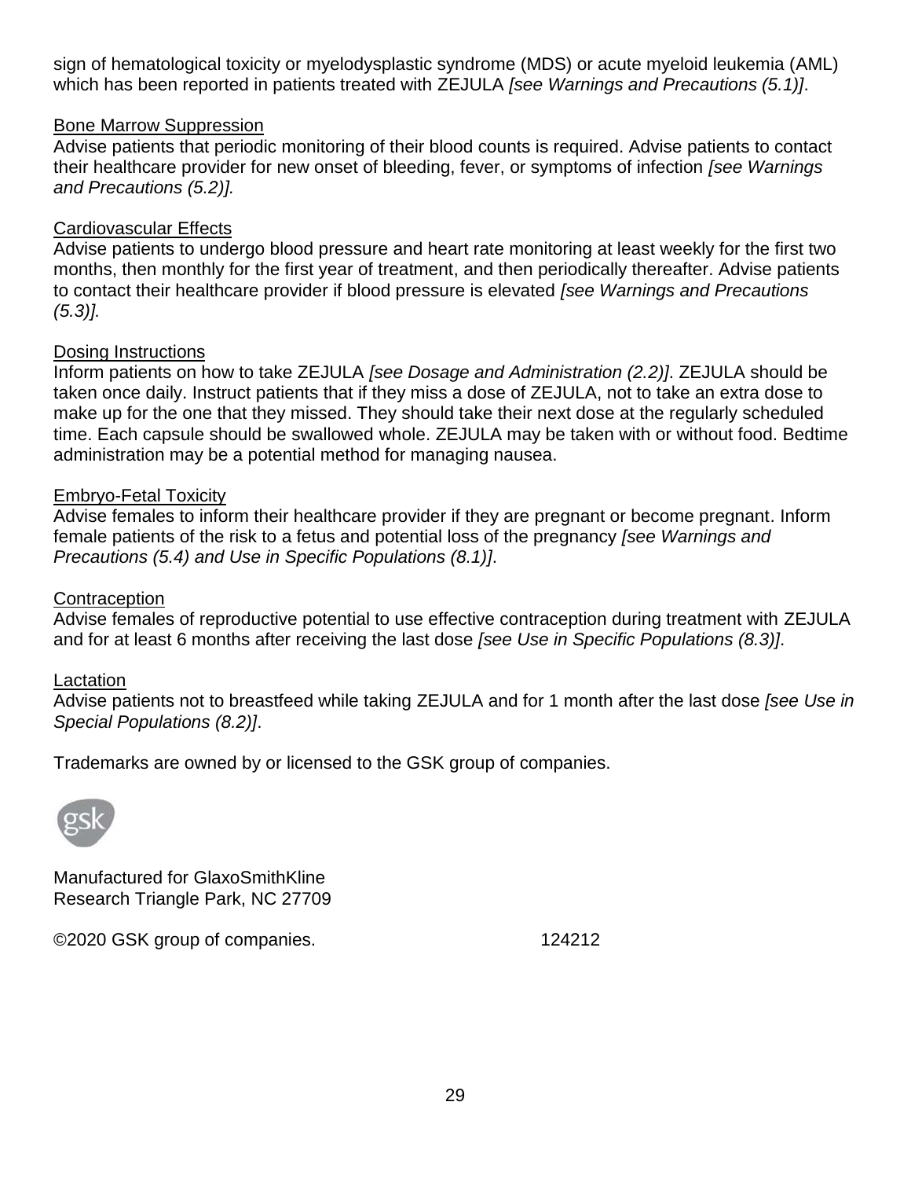sign of hematological toxicity or myelodysplastic syndrome (MDS) or acute myeloid leukemia (AML) which has been reported in patients treated with ZEJULA *[see Warnings and Precautions (5.1)]*.

#### Bone Marrow Suppression

Advise patients that periodic monitoring of their blood counts is required. Advise patients to contact their healthcare provider for new onset of bleeding, fever, or symptoms of infection *[see Warnings and Precautions (5.2)].*

#### Cardiovascular Effects

Advise patients to undergo blood pressure and heart rate monitoring at least weekly for the first two months, then monthly for the first year of treatment, and then periodically thereafter. Advise patients to contact their healthcare provider if blood pressure is elevated *[see Warnings and Precautions (5.3)].*

#### Dosing Instructions

Inform patients on how to take ZEJULA *[see Dosage and Administration (2.2)]*. ZEJULA should be taken once daily. Instruct patients that if they miss a dose of ZEJULA, not to take an extra dose to make up for the one that they missed. They should take their next dose at the regularly scheduled time. Each capsule should be swallowed whole. ZEJULA may be taken with or without food. Bedtime administration may be a potential method for managing nausea.

#### Embryo-Fetal Toxicity

Advise females to inform their healthcare provider if they are pregnant or become pregnant. Inform female patients of the risk to a fetus and potential loss of the pregnancy *[see Warnings and Precautions (5.4) and Use in Specific Populations (8.1)]*.

#### **Contraception**

Advise females of reproductive potential to use effective contraception during treatment with ZEJULA and for at least 6 months after receiving the last dose *[see Use in Specific Populations (8.3)]*.

#### Lactation

Advise patients not to breastfeed while taking ZEJULA and for 1 month after the last dose *[see Use in Special Populations (8.2)]*.

Trademarks are owned by or licensed to the GSK group of companies.



Manufactured for GlaxoSmithKline Research Triangle Park, NC 27709

©2020 GSK group of companies. 124212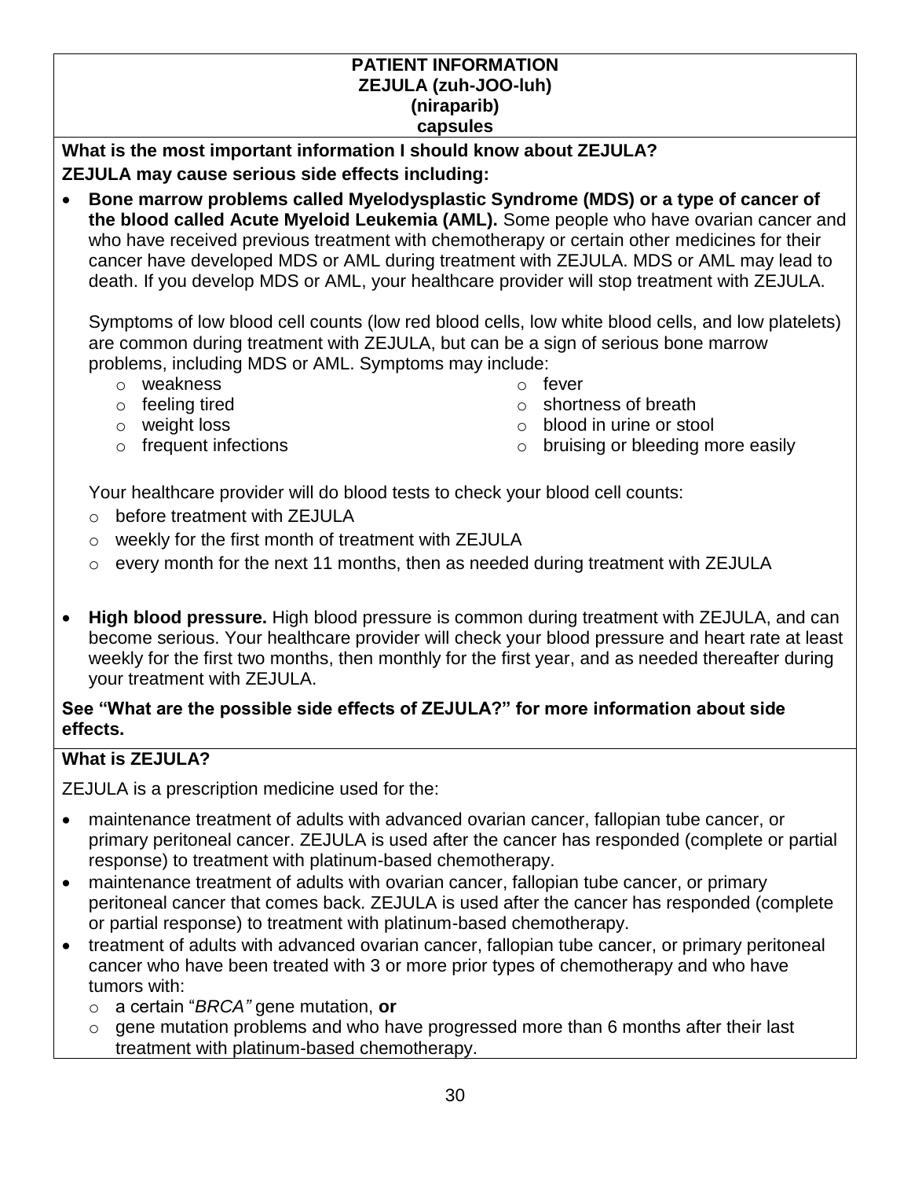#### **PATIENT INFORMATION ZEJULA (zuh-JOO-luh) (niraparib) capsules**

**What is the most important information I should know about ZEJULA? ZEJULA may cause serious side effects including:**

• **Bone marrow problems called Myelodysplastic Syndrome (MDS) or a type of cancer of the blood called Acute Myeloid Leukemia (AML).** Some people who have ovarian cancer and who have received previous treatment with chemotherapy or certain other medicines for their cancer have developed MDS or AML during treatment with ZEJULA. MDS or AML may lead to death. If you develop MDS or AML, your healthcare provider will stop treatment with ZEJULA.

Symptoms of low blood cell counts (low red blood cells, low white blood cells, and low platelets) are common during treatment with ZEJULA, but can be a sign of serious bone marrow problems, including MDS or AML. Symptoms may include:

- o weakness o fever
- o feeling tired
- o weight loss
- 
- 
- o shortness of breath
- o blood in urine or stool
- o frequent infections on the state of the bruising or bleeding more easily

Your healthcare provider will do blood tests to check your blood cell counts:

- o before treatment with ZEJULA
- o weekly for the first month of treatment with ZEJULA
- o every month for the next 11 months, then as needed during treatment with ZEJULA
- **High blood pressure.** High blood pressure is common during treatment with ZEJULA, and can become serious. Your healthcare provider will check your blood pressure and heart rate at least weekly for the first two months, then monthly for the first year, and as needed thereafter during your treatment with ZEJULA.

## **See "What are the possible side effects of ZEJULA?" for more information about side effects.**

## **What is ZEJULA?**

ZEJULA is a prescription medicine used for the:

- maintenance treatment of adults with advanced ovarian cancer, fallopian tube cancer, or primary peritoneal cancer. ZEJULA is used after the cancer has responded (complete or partial response) to treatment with platinum-based chemotherapy.
- maintenance treatment of adults with ovarian cancer, fallopian tube cancer, or primary peritoneal cancer that comes back. ZEJULA is used after the cancer has responded (complete or partial response) to treatment with platinum-based chemotherapy.
- treatment of adults with advanced ovarian cancer, fallopian tube cancer, or primary peritoneal cancer who have been treated with 3 or more prior types of chemotherapy and who have tumors with:
	- o a certain "*BRCA"* gene mutation, **or**
	- o gene mutation problems and who have progressed more than 6 months after their last treatment with platinum-based chemotherapy.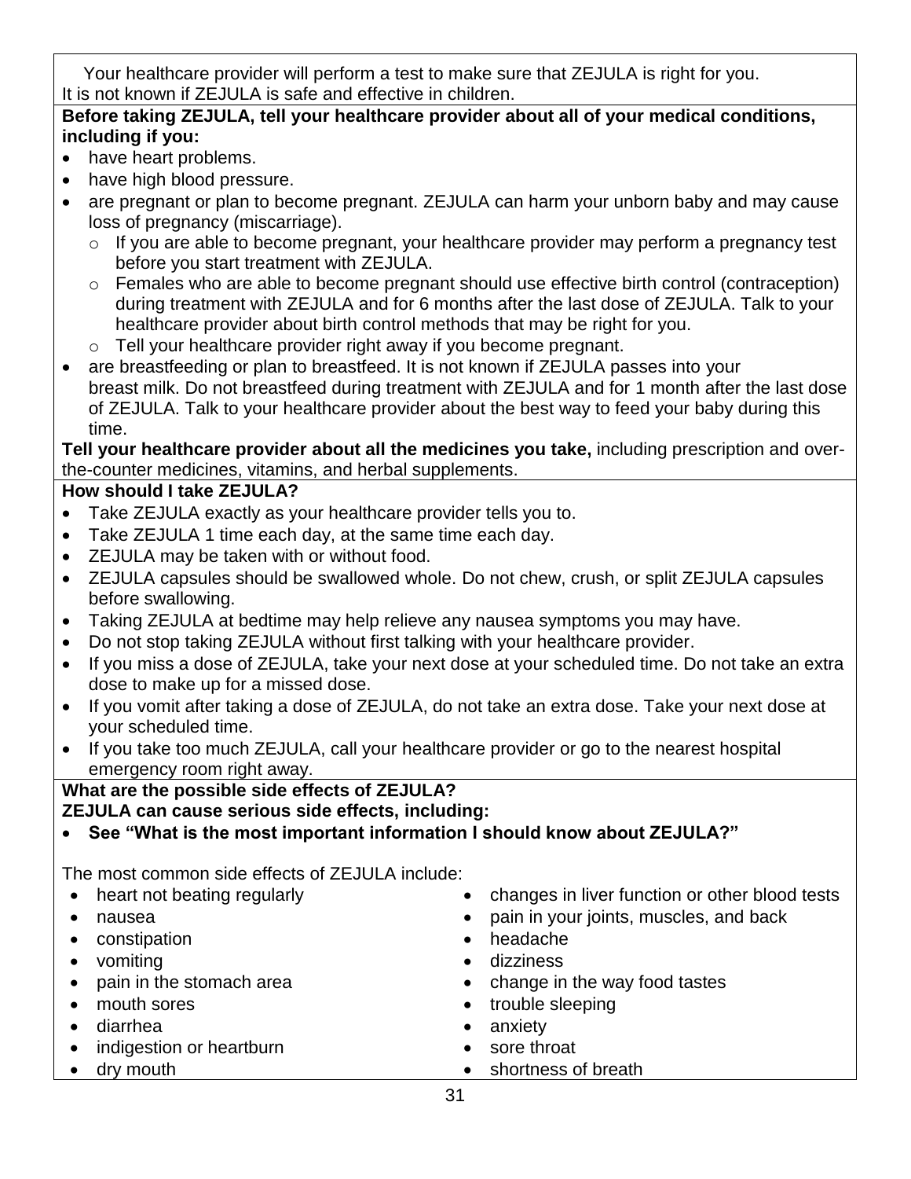Your healthcare provider will perform a test to make sure that ZEJULA is right for you. It is not known if ZEJULA is safe and effective in children.

## **Before taking ZEJULA, tell your healthcare provider about all of your medical conditions, including if you:**

- have heart problems.
- have high blood pressure.
- are pregnant or plan to become pregnant. ZEJULA can harm your unborn baby and may cause loss of pregnancy (miscarriage).
	- o If you are able to become pregnant, your healthcare provider may perform a pregnancy test before you start treatment with ZEJULA.
	- o Females who are able to become pregnant should use effective birth control (contraception) during treatment with ZEJULA and for 6 months after the last dose of ZEJULA. Talk to your healthcare provider about birth control methods that may be right for you.
	- o Tell your healthcare provider right away if you become pregnant.
- are breastfeeding or plan to breastfeed. It is not known if ZEJULA passes into your breast milk. Do not breastfeed during treatment with ZEJULA and for 1 month after the last dose of ZEJULA. Talk to your healthcare provider about the best way to feed your baby during this time.

**Tell your healthcare provider about all the medicines you take,** including prescription and overthe-counter medicines, vitamins, and herbal supplements.

## **How should I take ZEJULA?**

- Take ZEJULA exactly as your healthcare provider tells you to.
- Take ZEJULA 1 time each day, at the same time each day.
- ZEJULA may be taken with or without food.
- ZEJULA capsules should be swallowed whole. Do not chew, crush, or split ZEJULA capsules before swallowing.
- Taking ZEJULA at bedtime may help relieve any nausea symptoms you may have.
- Do not stop taking ZEJULA without first talking with your healthcare provider.
- If you miss a dose of ZEJULA, take your next dose at your scheduled time. Do not take an extra dose to make up for a missed dose.
- If you vomit after taking a dose of ZEJULA, do not take an extra dose. Take your next dose at your scheduled time.
- If you take too much ZEJULA, call your healthcare provider or go to the nearest hospital emergency room right away.

# **What are the possible side effects of ZEJULA?**

**ZEJULA can cause serious side effects, including:**

• **See "What is the most important information I should know about ZEJULA?"**

The most common side effects of ZEJULA include:

- 
- 
- constipation headache
- 
- 
- 
- 
- indigestion or heartburn sore throat
- 
- heart not beating regularly **•** changes in liver function or other blood tests
- nausea pain in your joints, muscles, and back
	-
- vomiting **•** dizziness
	- pain in the stomach area **•** change in the way food tastes
- mouth sores trouble sleeping
	- diarrhea **•** anxiety
		-
- dry mouth shortness of breath